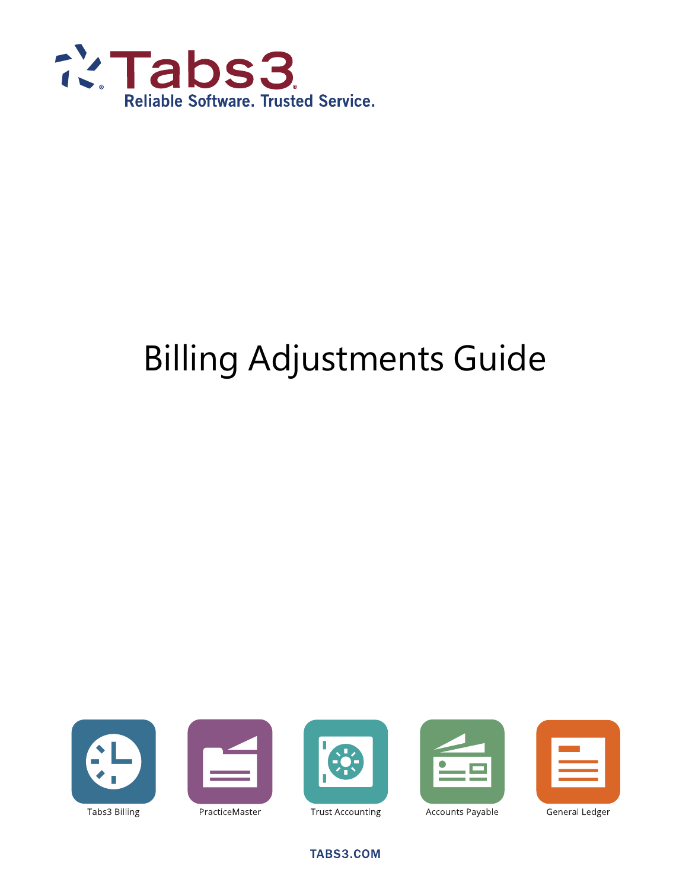

# Billing Adjustments Guide











PracticeMaster

Accounts Payable

General Ledger

TABS3.COM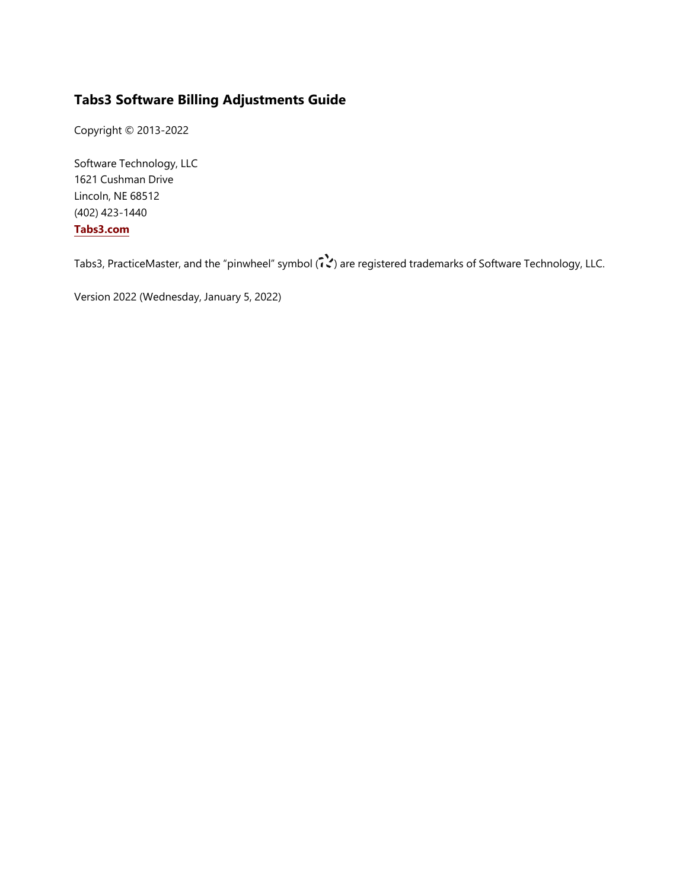### **Tabs3 Software Billing Adjustments Guide**

Copyright © 2013-2022

Software Technology, LLC 1621 Cushman Drive Lincoln, NE 68512 (402) 423-1440 **[Tabs3.com](http://tabs3.com/)**

Tabs3, PracticeMaster, and the "pinwheel" symbol ( ) are registered trademarks of Software Technology, LLC.

Version 2022 (Wednesday, January 5, 2022)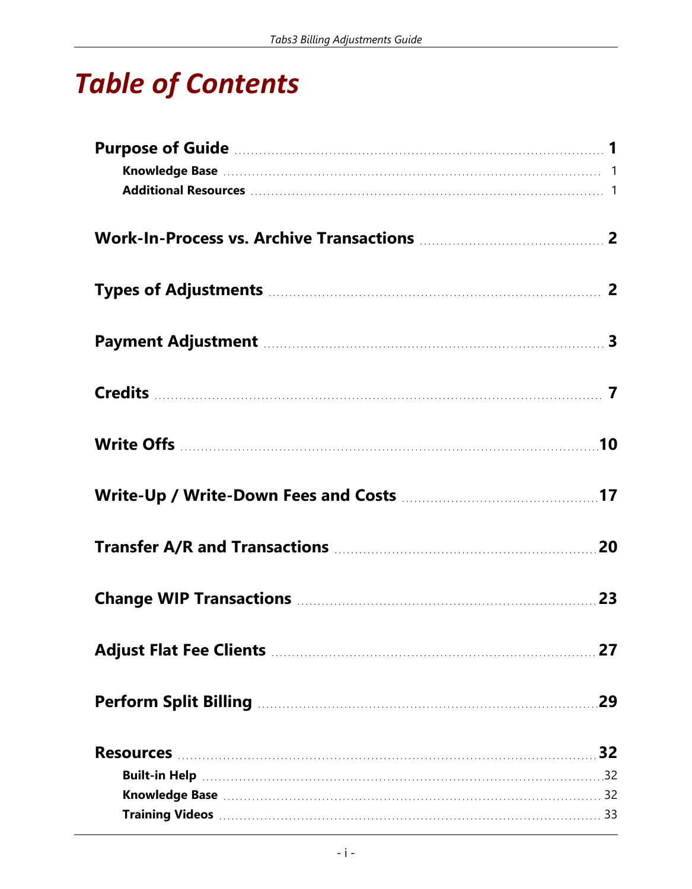# *Table of Contents*

| Payment Adjustment Material Manual Material Material 3 |  |
|--------------------------------------------------------|--|
|                                                        |  |
|                                                        |  |
|                                                        |  |
|                                                        |  |
|                                                        |  |
|                                                        |  |
|                                                        |  |
|                                                        |  |
|                                                        |  |
|                                                        |  |
|                                                        |  |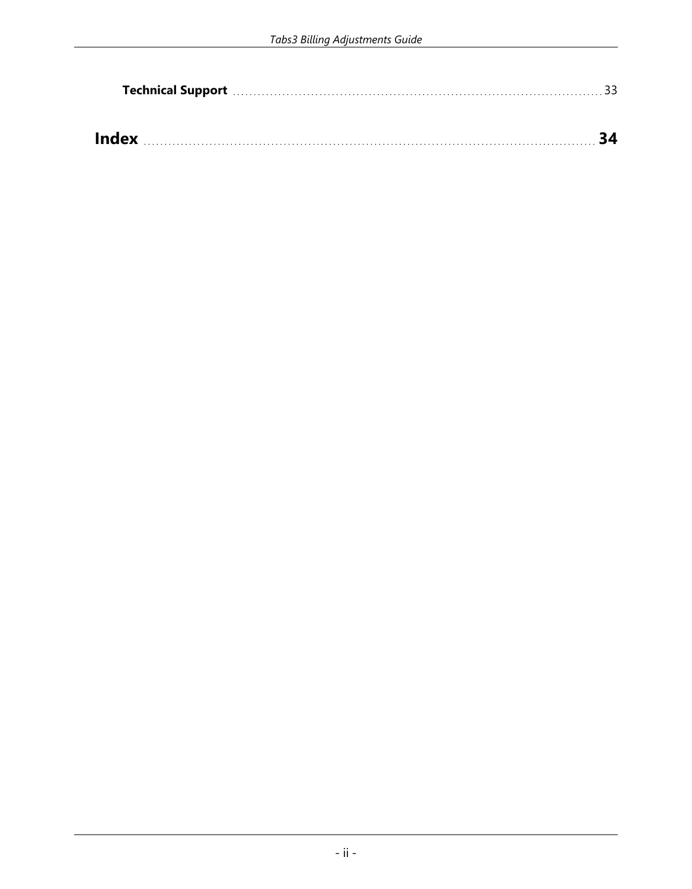|              |  | Technical Support manufactured and support of the substitution of the state of the state of the state of the s |
|--------------|--|----------------------------------------------------------------------------------------------------------------|
|              |  |                                                                                                                |
|              |  |                                                                                                                |
| <b>Index</b> |  |                                                                                                                |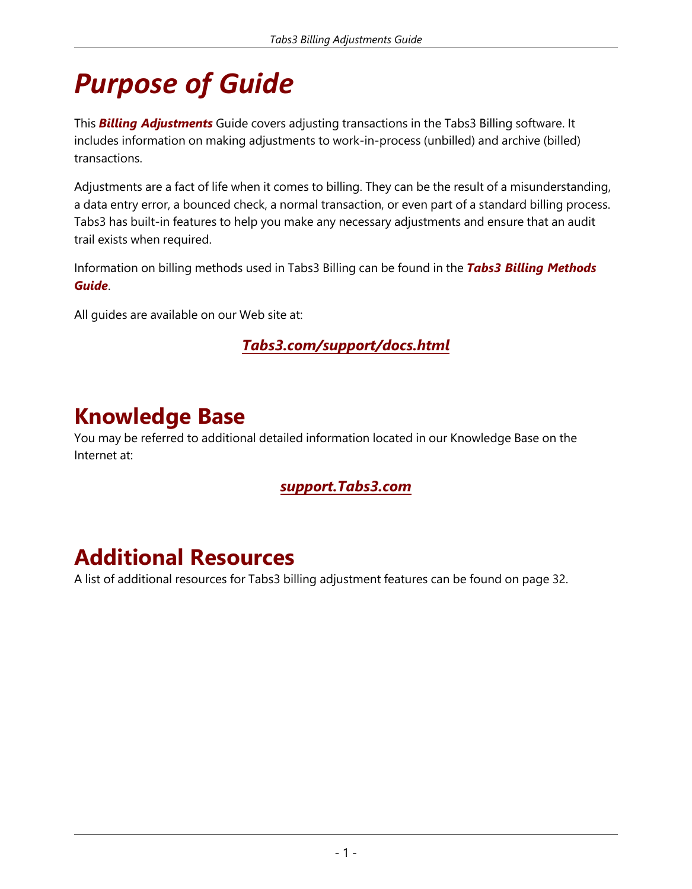# <span id="page-4-0"></span>*Purpose of Guide*

<span id="page-4-3"></span>This *Billing Adjustments* Guide covers adjusting transactions in the Tabs3 Billing software. It includes information on making adjustments to work-in-process (unbilled) and archive (billed) transactions.

<span id="page-4-4"></span>Adjustments are a fact of life when it comes to billing. They can be the result of a misunderstanding, a data entry error, a bounced check, a normal transaction, or even part of a standard billing process. Tabs3 has built-in features to help you make any necessary adjustments and ensure that an audit trail exists when required.

<span id="page-4-5"></span>Information on billing methods used in Tabs3 Billing can be found in the *Tabs3 Billing Methods Guide*.

All guides are available on our Web site at:

*[Tabs3.com/support/docs.html](http://tabs3.com/support/docs.html)*

### <span id="page-4-1"></span>**Knowledge Base**

You may be referred to additional detailed information located in our Knowledge Base on the Internet at:

### *[support.Tabs3.com](https://support.tabs3.com/)*

### <span id="page-4-2"></span>**Additional Resources**

A list of additional resources for Tabs3 billing adjustment features can be found on [page](#page-35-0) 32.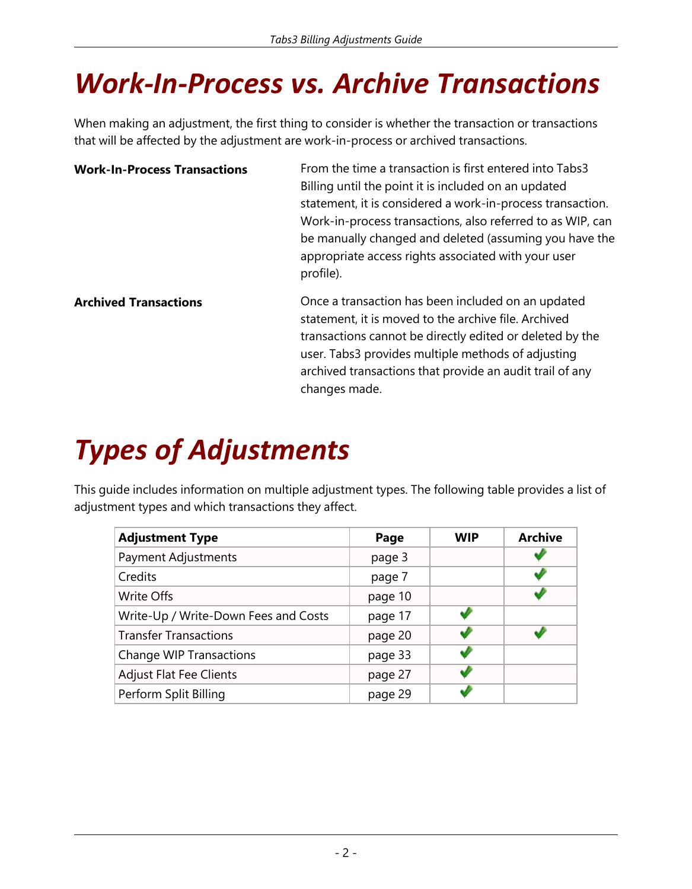# <span id="page-5-0"></span>*Work-In-Process vs. Archive Transactions*

When making an adjustment, the first thing to consider is whether the transaction or transactions that will be affected by the adjustment are work-in-process or archived transactions.

<span id="page-5-4"></span><span id="page-5-3"></span>

| <b>Work-In-Process Transactions</b> | From the time a transaction is first entered into Tabs3<br>Billing until the point it is included on an updated<br>statement, it is considered a work-in-process transaction.<br>Work-in-process transactions, also referred to as WIP, can<br>be manually changed and deleted (assuming you have the<br>appropriate access rights associated with your user<br>profile). |
|-------------------------------------|---------------------------------------------------------------------------------------------------------------------------------------------------------------------------------------------------------------------------------------------------------------------------------------------------------------------------------------------------------------------------|
| <b>Archived Transactions</b>        | Once a transaction has been included on an updated<br>statement, it is moved to the archive file. Archived<br>transactions cannot be directly edited or deleted by the<br>user. Tabs3 provides multiple methods of adjusting<br>archived transactions that provide an audit trail of any<br>changes made.                                                                 |

# <span id="page-5-1"></span>*Types of Adjustments*

<span id="page-5-2"></span>This guide includes information on multiple adjustment types. The following table provides a list of adjustment types and which transactions they affect.

| <b>Adjustment Type</b>               | Page    | <b>WIP</b> | <b>Archive</b> |
|--------------------------------------|---------|------------|----------------|
| Payment Adjustments                  | page 3  |            |                |
| Credits                              | page 7  |            |                |
| Write Offs                           | page 10 |            |                |
| Write-Up / Write-Down Fees and Costs | page 17 |            |                |
| <b>Transfer Transactions</b>         | page 20 |            |                |
| <b>Change WIP Transactions</b>       | page 33 |            |                |
| <b>Adjust Flat Fee Clients</b>       | page 27 |            |                |
| Perform Split Billing                | page 29 |            |                |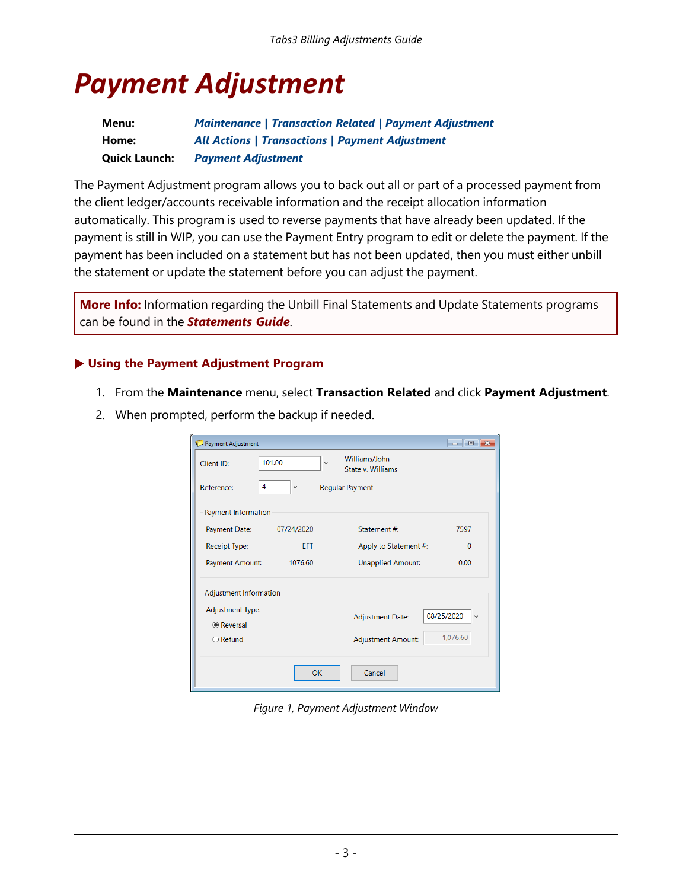## <span id="page-6-0"></span>*Payment Adjustment*

| Menu:                | <b>Maintenance   Transaction Related   Payment Adjustment</b> |
|----------------------|---------------------------------------------------------------|
| Home:                | <b>All Actions   Transactions   Payment Adjustment</b>        |
| <b>Quick Launch:</b> | <b>Payment Adjustment</b>                                     |

The Payment Adjustment program allows you to back out all or part of a processed payment from the client ledger/accounts receivable information and the receipt allocation information automatically. This program is used to reverse payments that have already been updated. If the payment is still in WIP, you can use the Payment Entry program to edit or delete the payment. If the payment has been included on a statement but has not been updated, then you must either unbill the statement or update the statement before you can adjust the payment.

<span id="page-6-1"></span>**More Info:** Information regarding the Unbill Final Statements and Update Statements programs can be found in the *Statements Guide*.

#### ▶ **Using the Payment Adjustment Program**

- 1. From the **Maintenance** menu, select **Transaction Related** and click **Payment Adjustment**.
- 2. When prompted, perform the backup if needed.

| Payment Adjustment                    |                   |              |                                    |                            |
|---------------------------------------|-------------------|--------------|------------------------------------|----------------------------|
| Client ID:                            | 101.00            | $\checkmark$ | Williams/John<br>State v. Williams |                            |
| Reference:                            | 4<br>$\checkmark$ |              | <b>Regular Payment</b>             |                            |
| Payment Information                   |                   |              |                                    |                            |
| Payment Date:                         | 07/24/2020        |              | Statement #:                       | 7597                       |
| <b>Receipt Type:</b>                  | <b>FFT</b>        |              | Apply to Statement #:              | $\Omega$                   |
| Payment Amount:                       | 1076.60           |              | <b>Unapplied Amount:</b>           | 0.00                       |
| <b>Adjustment Information</b>         |                   |              |                                    |                            |
| <b>Adjustment Type:</b><br>◉ Reversal |                   |              | <b>Adjustment Date:</b>            | 08/25/2020<br>$\checkmark$ |
| $\bigcirc$ Refund                     |                   |              | <b>Adjustment Amount:</b>          | 1,076.60                   |
|                                       |                   | <b>OK</b>    | Cancel                             |                            |

*Figure 1, Payment Adjustment Window*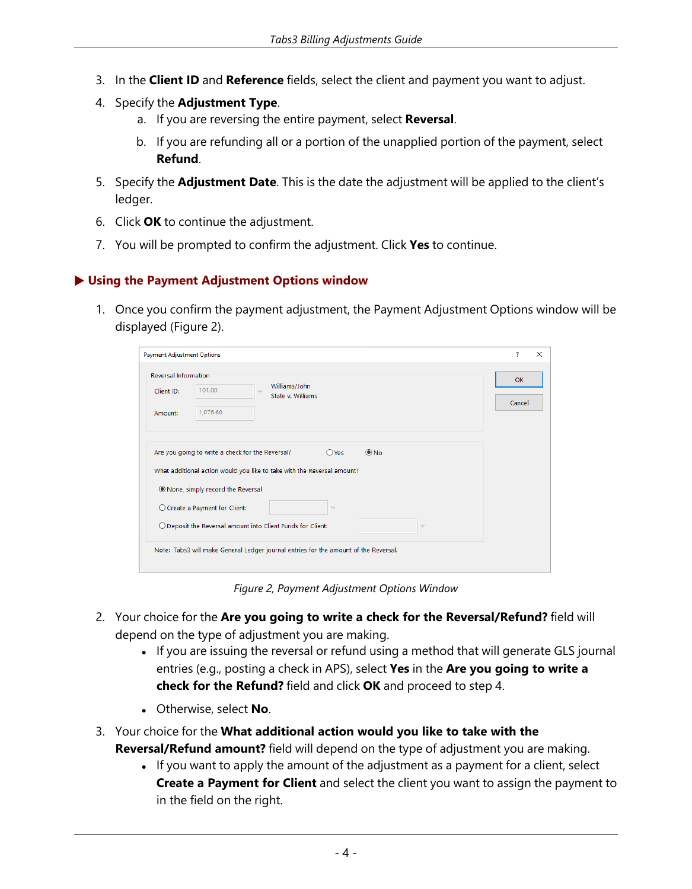- 3. In the **Client ID** and **Reference** fields, select the client and payment you want to adjust.
- 4. Specify the **Adjustment Type**.
	- a. If you are reversing the entire payment, select **Reversal**.
	- b. If you are refunding all or a portion of the unapplied portion of the payment, select **Refund**.
- 5. Specify the **Adjustment Date**. This is the date the adjustment will be applied to the client's ledger.
- 6. Click **OK** to continue the adjustment.
- 7. You will be prompted to confirm the adjustment. Click **Yes** to continue.

#### <span id="page-7-2"></span>▶ **Using the Payment Adjustment Options window**

1. Once you confirm the payment adjustment, the Payment Adjustment Options window will be displayed ([Figure](#page-7-0) 2).

| <b>Payment Adjustment Options</b>                                                                                                                                                      | $\overline{\phantom{a}}$<br>$\times$ |
|----------------------------------------------------------------------------------------------------------------------------------------------------------------------------------------|--------------------------------------|
| <b>Reversal Information</b><br>Williams/John<br>101.00<br>Client ID:<br>$\sim$<br>State v. Williams<br>1,076.60<br>Amount:                                                             | <b>OK</b><br>Cancel                  |
| Are you going to write a check for the Reversal?<br>$@$ No<br>$O$ Yes<br>What additional action would you like to take with the Reversal amount?<br>O None, simply record the Reversal |                                      |
| ○ Create a Payment for Client:<br>v<br>O Deposit the Reversal amount into Client Funds for Client:<br>$\mathcal{A}$                                                                    |                                      |
| Note: Tabs3 will make General Ledger journal entries for the amount of the Reversal.                                                                                                   |                                      |

*Figure 2, Payment Adjustment Options Window*

- <span id="page-7-3"></span><span id="page-7-0"></span>2. Your choice for the **Are you going to write a check for the Reversal/Refund?** field will depend on the type of adjustment you are making.
	- If you are issuing the reversal or refund using a method that will generate GLS journal entries (e.g., posting a check in APS), select **Yes** in the **Are you going to write a check for the Refund?** field and click **OK** and proceed to step 4.
	- **.** Otherwise, select **No**.
- <span id="page-7-1"></span>3. Your choice for the **What additional action would you like to take with the Reversal/Refund amount?** field will depend on the type of adjustment you are making.
	- If you want to apply the amount of the adjustment as a payment for a client, select **Create a Payment for Client** and select the client you want to assign the payment to in the field on the right.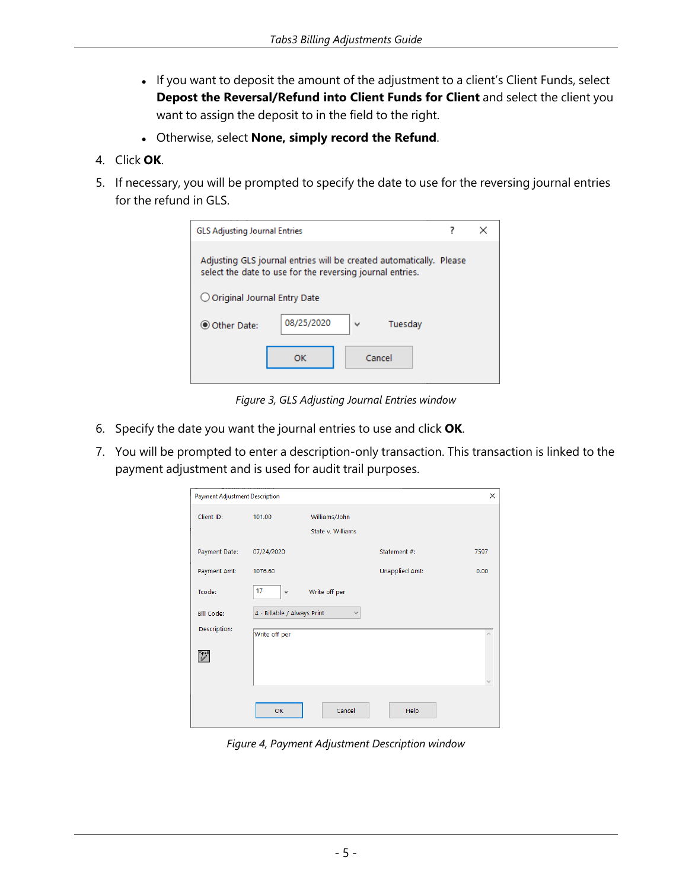- If you want to deposit the amount of the adjustment to a client's Client Funds, select **Depost the Reversal/Refund into Client Funds for Client** and select the client you want to assign the deposit to in the field to the right.
- <sup>l</sup> Otherwise, select **None, simply record the Refund**.
- 4. Click **OK**.
- 5. If necessary, you will be prompted to specify the date to use for the reversing journal entries for the refund in GLS.

| <b>GLS Adjusting Journal Entries</b>                                                                                             |            |              |  | × |
|----------------------------------------------------------------------------------------------------------------------------------|------------|--------------|--|---|
| Adjusting GLS journal entries will be created automatically. Please<br>select the date to use for the reversing journal entries. |            |              |  |   |
| $\bigcirc$ Original Journal Entry Date                                                                                           |            |              |  |   |
| O Other Date:                                                                                                                    | 08/25/2020 | Tuesday<br>М |  |   |
|                                                                                                                                  | ОΚ         | Cancel       |  |   |

*Figure 3, GLS Adjusting Journal Entries window*

- 6. Specify the date you want the journal entries to use and click **OK**.
- 7. You will be prompted to enter a description-only transaction. This transaction is linked to the payment adjustment and is used for audit trail purposes.

| <b>Payment Adjustment Description</b> |                             |                   |                       | $\times$ |
|---------------------------------------|-----------------------------|-------------------|-----------------------|----------|
| Client ID:                            | 101.00                      | Williams/John     |                       |          |
|                                       |                             | State v. Williams |                       |          |
| <b>Payment Date:</b>                  | 07/24/2020                  |                   | Statement #:          | 7597     |
| Payment Amt:                          | 1076.60                     |                   | <b>Unapplied Amt:</b> | 0.00     |
| Tcode:                                | 17<br>$\checkmark$          | Write off per     |                       |          |
| <b>Bill Code:</b>                     | 4 - Billable / Always Print | $\checkmark$      |                       |          |
| Description:                          | Write off per               |                   |                       |          |
| Spell                                 |                             |                   |                       |          |
|                                       |                             |                   |                       |          |
|                                       | <b>OK</b>                   | Cancel            | Help                  |          |

<span id="page-8-0"></span>*Figure 4, Payment Adjustment Description window*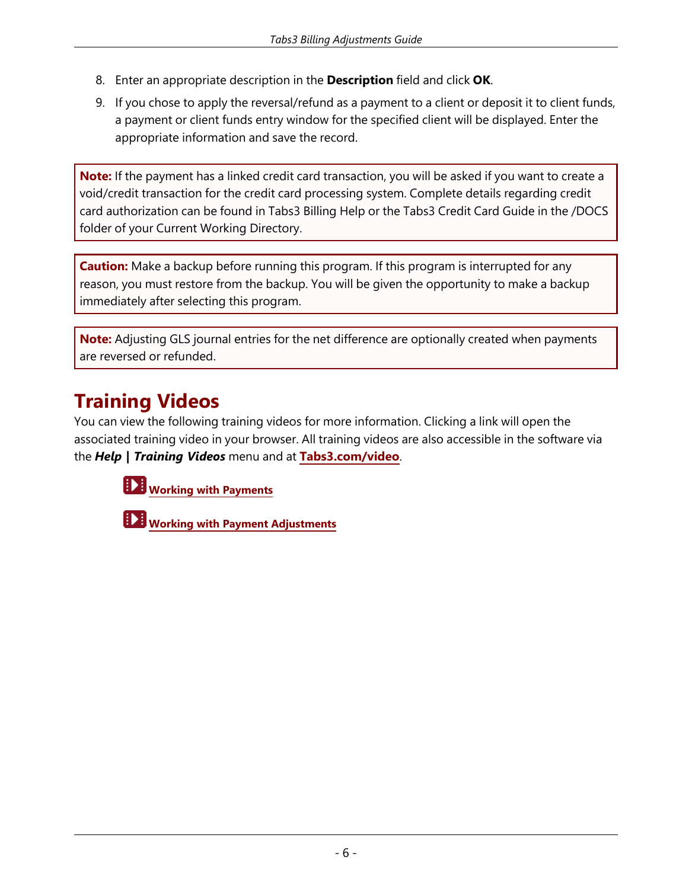- 8. Enter an appropriate description in the **Description** field and click **OK**.
- 9. If you chose to apply the reversal/refund as a payment to a client or deposit it to client funds, a payment or client funds entry window for the specified client will be displayed. Enter the appropriate information and save the record.

<span id="page-9-0"></span>**Note:** If the payment has a linked credit card transaction, you will be asked if you want to create a void/credit transaction for the credit card processing system. Complete details regarding credit card authorization can be found in Tabs3 Billing Help or the Tabs3 Credit Card Guide in the /DOCS folder of your Current Working Directory.

**Caution:** Make a backup before running this program. If this program is interrupted for any reason, you must restore from the backup. You will be given the opportunity to make a backup immediately after selecting this program.

<span id="page-9-1"></span>**Note:** Adjusting GLS journal entries for the net difference are optionally created when payments are reversed or refunded.

### **Training Videos**

You can view the following training videos for more information. Clicking a link will open the associated training video in your browser. All training videos are also accessible in the software via the *Help | Training Videos* menu and at **[Tabs3.com/video](https://www.tabs3.com/video)**.

**Working with [Payments](https://www.tabs3.com/t3paymentvideo)**

**Working with Payment [Adjustments](https://www.tabs3.com/t3pymtadjvideo)**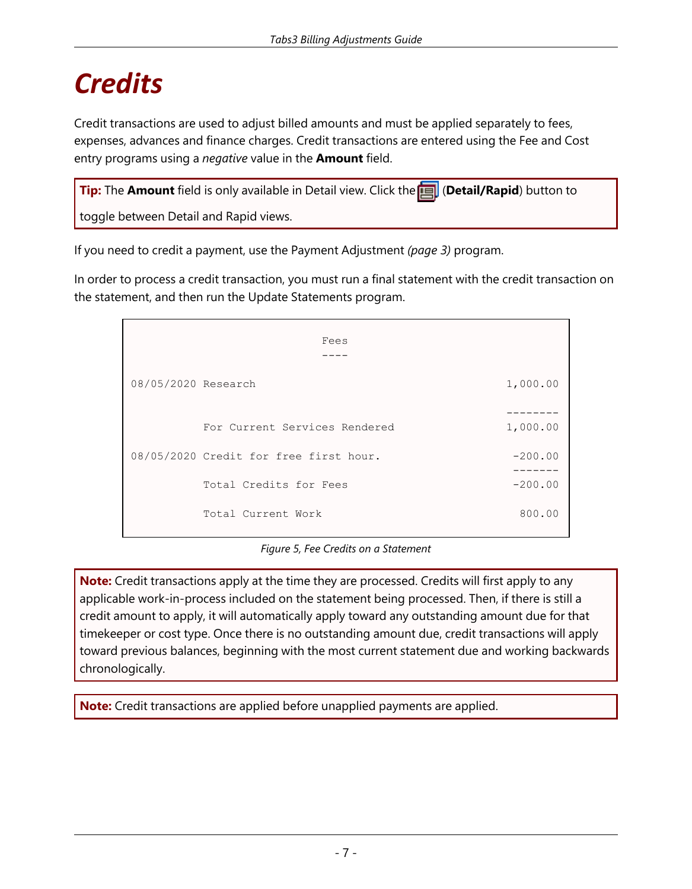# <span id="page-10-0"></span>*Credits*

<span id="page-10-1"></span>Credit transactions are used to adjust billed amounts and must be applied separately to fees, expenses, advances and finance charges. Credit transactions are entered using the Fee and Cost entry programs using a *negative* value in the **Amount** field.

| Tip: The Amount field is only available in Detail view. Click the <b>Tal</b> (Detail/Rapid) button to |  |
|-------------------------------------------------------------------------------------------------------|--|
| toggle between Detail and Rapid views.                                                                |  |

<span id="page-10-3"></span>If you need to credit a payment, use the Payment Adjustment *([page](#page-6-0) 3)* program.

In order to process a credit transaction, you must run a final statement with the credit transaction on the statement, and then run the Update Statements program.

| Fees                |                                        |                |  |  |
|---------------------|----------------------------------------|----------------|--|--|
| 08/05/2020 Research |                                        | 1,000.00       |  |  |
|                     | For Current Services Rendered          | 1,000.00       |  |  |
|                     | 08/05/2020 Credit for free first hour. | $-200.00$<br>. |  |  |
|                     | Total Credits for Fees                 | $-200.00$      |  |  |
|                     | Total Current Work                     | 800.00         |  |  |

#### *Figure 5, Fee Credits on a Statement*

<span id="page-10-2"></span>**Note:** Credit transactions apply at the time they are processed. Credits will first apply to any applicable work-in-process included on the statement being processed. Then, if there is still a credit amount to apply, it will automatically apply toward any outstanding amount due for that timekeeper or cost type. Once there is no outstanding amount due, credit transactions will apply toward previous balances, beginning with the most current statement due and working backwards chronologically.

**Note:** Credit transactions are applied before unapplied payments are applied.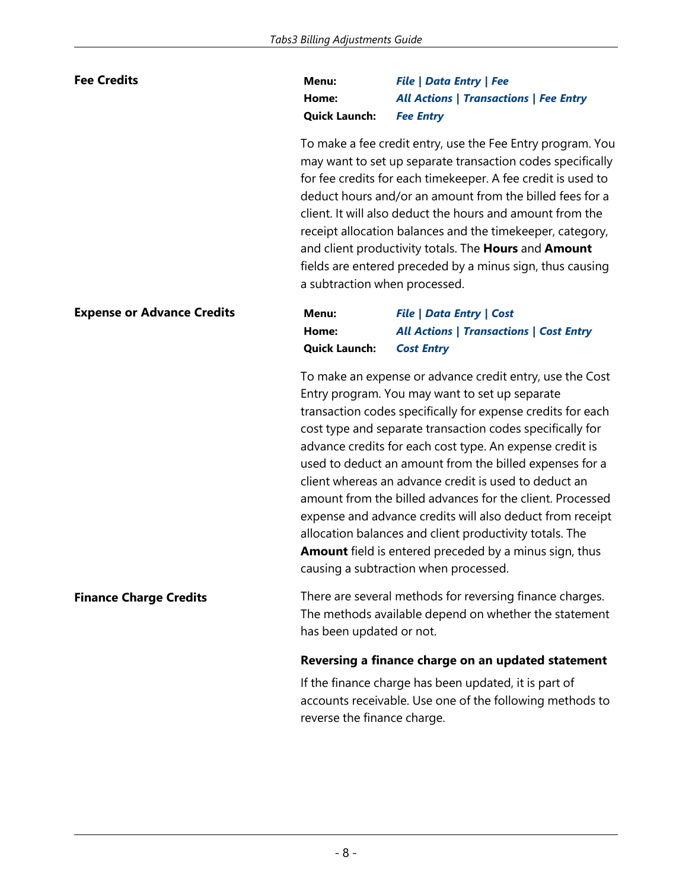### <span id="page-11-1"></span>**Fee Credits Menu:** *File | Data Entry | Fee* **Home:** *All Actions | Transactions | Fee Entry* **Quick Launch:** *Fee Entry*

To make a fee credit entry, use the Fee Entry program. You may want to set up separate transaction codes specifically for fee credits for each timekeeper. A fee credit is used to deduct hours and/or an amount from the billed fees for a client. It will also deduct the hours and amount from the receipt allocation balances and the timekeeper, category, and client productivity totals. The **Hours** and **Amount** fields are entered preceded by a minus sign, thus causing a subtraction when processed.

<span id="page-11-0"></span>

| <b>Expense or Advance Credits</b> | Menu:                           | <b>File   Data Entry   Cost</b>                |
|-----------------------------------|---------------------------------|------------------------------------------------|
|                                   | Home:                           | <b>All Actions   Transactions   Cost Entry</b> |
|                                   | <b>Quick Launch:</b> Cost Entry |                                                |

To make an expense or advance credit entry, use the Cost Entry program. You may want to set up separate transaction codes specifically for expense credits for each cost type and separate transaction codes specifically for advance credits for each cost type. An expense credit is used to deduct an amount from the billed expenses for a client whereas an advance credit is used to deduct an amount from the billed advances for the client. Processed expense and advance credits will also deduct from receipt allocation balances and client productivity totals. The **Amount** field is entered preceded by a minus sign, thus causing a subtraction when processed.

<span id="page-11-2"></span>**Finance Charge Credits** There are several methods for reversing finance charges. The methods available depend on whether the statement has been updated or not.

#### **Reversing a finance charge on an updated statement**

If the finance charge has been updated, it is part of accounts receivable. Use one of the following methods to reverse the finance charge.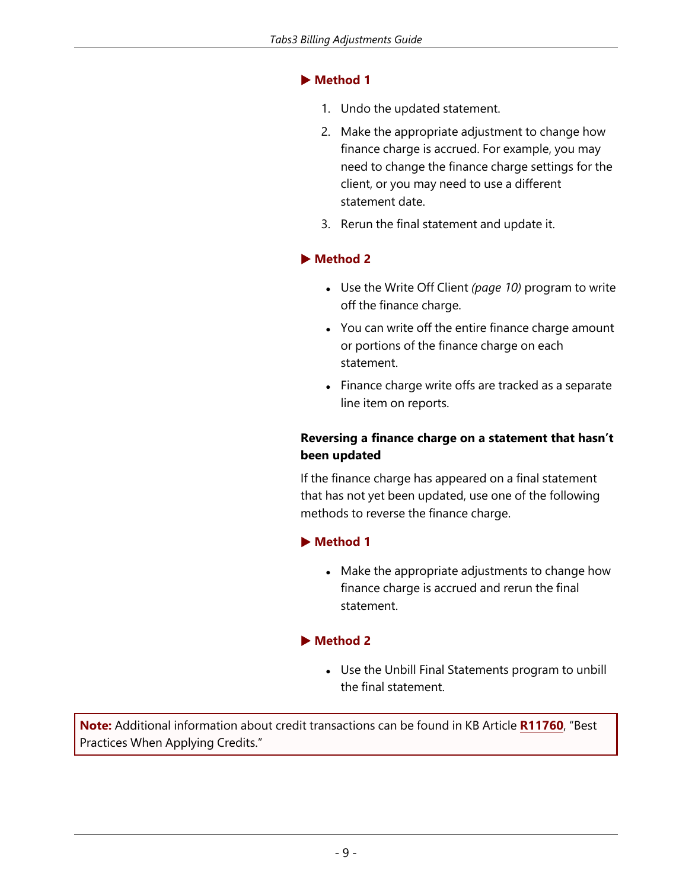### ▶ **Method 1**

- 1. Undo the updated statement.
- 2. Make the appropriate adjustment to change how finance charge is accrued. For example, you may need to change the finance charge settings for the client, or you may need to use a different statement date.
- 3. Rerun the final statement and update it.

### ▶ **Method 2**

- <sup>l</sup> Use the Write Off Client *[\(page](#page-13-0) 10)* program to write off the finance charge.
- You can write off the entire finance charge amount or portions of the finance charge on each statement.
- Finance charge write offs are tracked as a separate line item on reports.

### **Reversing a finance charge on a statement that hasn't been updated**

If the finance charge has appeared on a final statement that has not yet been updated, use one of the following methods to reverse the finance charge.

### ▶ **Method 1**

• Make the appropriate adjustments to change how finance charge is accrued and rerun the final statement.

### ▶ **Method 2**

• Use the Unbill Final Statements program to unbill the final statement.

**Note:** Additional information about credit transactions can be found in KB Article **[R11760](https://support.tabs3.com/main/r11760.htm)**, "Best Practices When Applying Credits."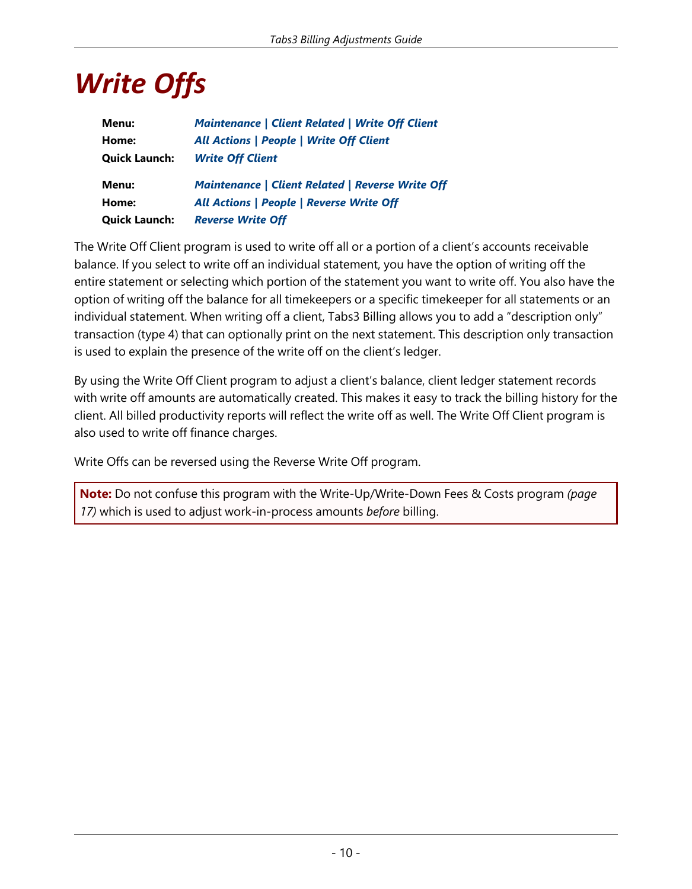# <span id="page-13-0"></span>*Write Offs*

| Menu:                | <b>Maintenance   Client Related   Write Off Client</b>  |
|----------------------|---------------------------------------------------------|
| Home:                | <b>All Actions   People   Write Off Client</b>          |
| <b>Quick Launch:</b> | <b>Write Off Client</b>                                 |
|                      |                                                         |
| Menu:                | <b>Maintenance   Client Related   Reverse Write Off</b> |
| Home:                | <b>All Actions   People   Reverse Write Off</b>         |

<span id="page-13-1"></span>The Write Off Client program is used to write off all or a portion of a client's accounts receivable balance. If you select to write off an individual statement, you have the option of writing off the entire statement or selecting which portion of the statement you want to write off. You also have the option of writing off the balance for all timekeepers or a specific timekeeper for all statements or an individual statement. When writing off a client, Tabs3 Billing allows you to add a "description only" transaction (type 4) that can optionally print on the next statement. This description only transaction is used to explain the presence of the write off on the client's ledger.

By using the Write Off Client program to adjust a client's balance, client ledger statement records with write off amounts are automatically created. This makes it easy to track the billing history for the client. All billed productivity reports will reflect the write off as well. The Write Off Client program is also used to write off finance charges.

Write Offs can be reversed using the Reverse Write Off program.

**Note:** Do not confuse this program with the Write-Up/Write-Down Fees & Costs program *([page](#page-20-0) [17\)](#page-20-0)* which is used to adjust work-in-process amounts *before* billing.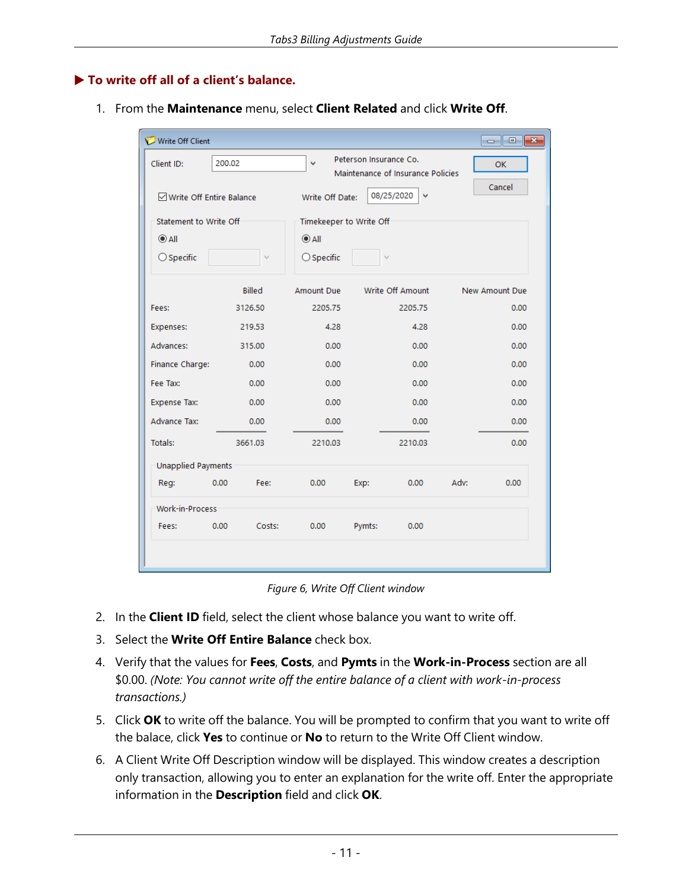#### <span id="page-14-1"></span>▶ **To write off all of a client's balance.**

1. From the **Maintenance** menu, select **Client Related** and click **Write Off**.

| Write Off Client                  |        |         |                         |                        |                                   |      |                     |
|-----------------------------------|--------|---------|-------------------------|------------------------|-----------------------------------|------|---------------------|
| Client ID:                        | 200.02 |         | $\checkmark$            | Peterson Insurance Co. | Maintenance of Insurance Policies |      | <b>OK</b><br>Cancel |
| <b>∞ Write Off Entire Balance</b> |        |         | Write Off Date:         |                        | 08/25/2020<br>v                   |      |                     |
| Statement to Write Off            |        |         | Timekeeper to Write Off |                        |                                   |      |                     |
| $\odot$ All                       |        |         | $\odot$ All             |                        |                                   |      |                     |
| $\bigcirc$ Specific               |        | v       | $\bigcirc$ Specific     |                        | $\checkmark$                      |      |                     |
|                                   |        | Billed  | <b>Amount Due</b>       |                        | Write Off Amount                  |      | New Amount Due      |
| Fees:                             |        | 3126.50 | 2205.75                 |                        | 2205.75                           |      | 0.00                |
| Expenses:                         |        | 219.53  | 4.28                    |                        | 4.28                              |      | 0.00                |
| Advances:                         |        | 315.00  | 0.00                    |                        | 0.00                              |      | 0.00                |
| Finance Charge:                   |        | 0.00    | 0.00                    |                        | 0.00                              |      | 0.00                |
| Fee Tax:                          |        | 0.00    | 0.00                    |                        | 0.00                              |      | 0.00                |
| <b>Expense Tax:</b>               |        | 0.00    | 0.00                    |                        | 0.00                              |      | 0.00                |
| <b>Advance Tax:</b>               |        | 0.00    | 0.00                    |                        | 0.00                              |      | 0.00                |
| Totals:                           |        | 3661.03 | 2210.03                 |                        | 2210.03                           |      | 0.00                |
| <b>Unapplied Payments</b>         |        |         |                         |                        |                                   |      |                     |
| Reg:                              | 0.00   | Fee:    | 0.00                    | Exp:                   | 0.00                              | Adv: | 0.00                |
| <b>Work-in-Process</b>            |        |         |                         |                        |                                   |      |                     |
| Fees:                             | 0.00   | Costs:  | 0.00                    | Pymts:                 | 0.00                              |      |                     |
|                                   |        |         |                         |                        |                                   |      |                     |
|                                   |        |         |                         |                        |                                   |      |                     |

|  |  |  |  |  | Figure 6, Write Off Client window |
|--|--|--|--|--|-----------------------------------|
|--|--|--|--|--|-----------------------------------|

- <span id="page-14-0"></span>2. In the **Client ID** field, select the client whose balance you want to write off.
- 3. Select the **Write Off Entire Balance** check box.
- 4. Verify that the values for **Fees**, **Costs**, and **Pymts** in the **Work-in-Process** section are all \$0.00. *(Note: You cannot write off the entire balance of a client with work-in-process transactions.)*
- 5. Click **OK** to write off the balance. You will be prompted to confirm that you want to write off the balace, click **Yes** to continue or **No** to return to the Write Off Client window.
- 6. A Client Write Off Description window will be displayed. This window creates a description only transaction, allowing you to enter an explanation for the write off. Enter the appropriate information in the **Description** field and click **OK**.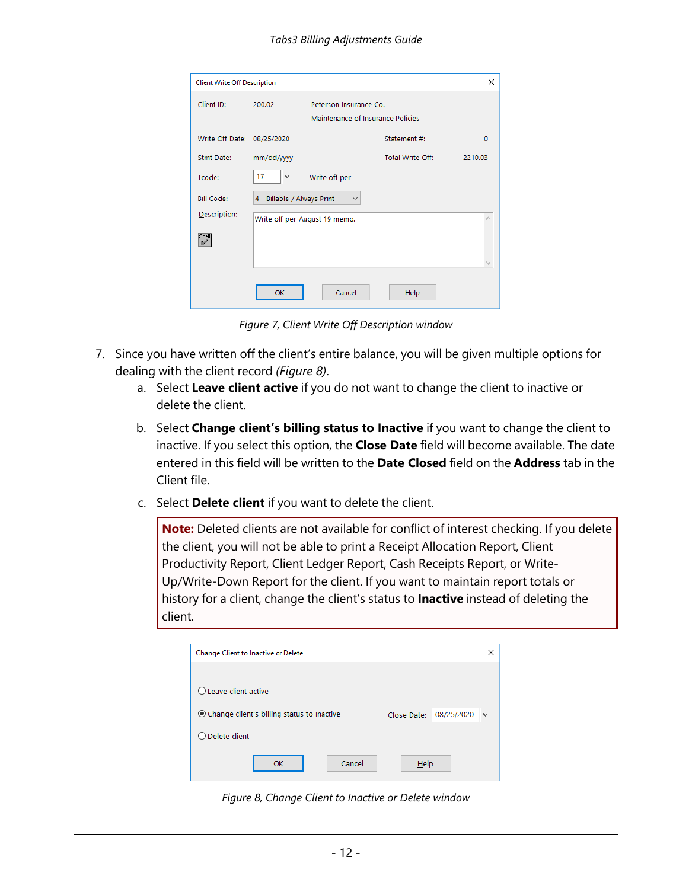| <b>Client Write Off Description</b> |                               |                                                             |                  | ×        |
|-------------------------------------|-------------------------------|-------------------------------------------------------------|------------------|----------|
| Client ID:                          | 200.02                        | Peterson Insurance Co.<br>Maintenance of Insurance Policies |                  |          |
| Write Off Date:                     | 08/25/2020                    |                                                             | Statement #:     | $\Omega$ |
| Stmt Date:                          | mm/dd/yyyy                    |                                                             | Total Write Off: | 2210.03  |
| Tcode:                              | 17<br>$\checkmark$            | Write off per                                               |                  |          |
| <b>Bill Code:</b>                   | 4 - Billable / Always Print   | $\checkmark$                                                |                  |          |
| Description:                        | Write off per August 19 memo. |                                                             |                  |          |
| Spell                               |                               |                                                             |                  |          |
|                                     | OK                            | Cancel                                                      | Help             |          |

<span id="page-15-1"></span>*Figure 7, Client Write Off Description window*

- 7. Since you have written off the client's entire balance, you will be given multiple options for dealing with the client record *([Figure](#page-15-0) 8)*.
	- a. Select **Leave client active** if you do not want to change the client to inactive or delete the client.
	- b. Select **Change client's billing status to Inactive** if you want to change the client to inactive. If you select this option, the **Close Date** field will become available. The date entered in this field will be written to the **Date Closed** field on the **Address** tab in the Client file.
	- c. Select **Delete client** if you want to delete the client.

**Note:** Deleted clients are not available for conflict of interest checking. If you delete the client, you will not be able to print a Receipt Allocation Report, Client Productivity Report, Client Ledger Report, Cash Receipts Report, or Write-Up/Write-Down Report for the client. If you want to maintain report totals or history for a client, change the client's status to **Inactive** instead of deleting the client.

| <b>Change Client to Inactive or Delete</b>   | ×                                         |
|----------------------------------------------|-------------------------------------------|
|                                              |                                           |
| $\bigcirc$ Leave client active               |                                           |
| © Change client's billing status to Inactive | 08/25/2020<br>Close Date:<br>$\checkmark$ |
| $\bigcirc$ Delete client                     |                                           |
| Cancel<br>OK                                 | Help                                      |

<span id="page-15-0"></span>*Figure 8, Change Client to Inactive or Delete window*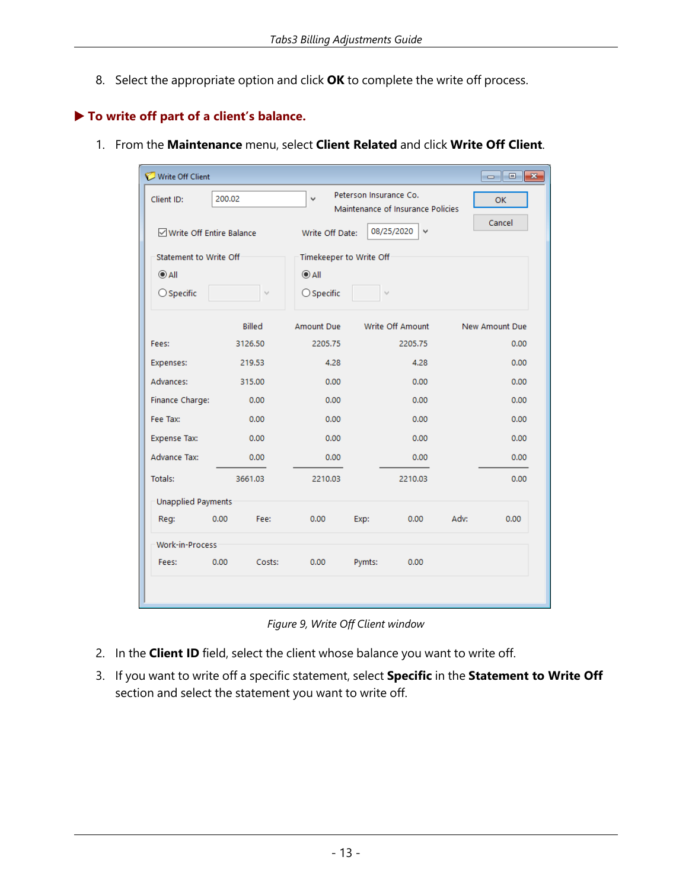8. Select the appropriate option and click **OK** to complete the write off process.

### <span id="page-16-0"></span>▶ **To write off part of a client's balance.**

1. From the **Maintenance** menu, select **Client Related** and click **Write Off Client**.

| Write Off Client                 |        |               |                         |                        |                                   |      |                |
|----------------------------------|--------|---------------|-------------------------|------------------------|-----------------------------------|------|----------------|
| Client ID:                       | 200.02 |               | $\checkmark$            | Peterson Insurance Co. | Maintenance of Insurance Policies |      | <b>OK</b>      |
| <b>ØWrite Off Entire Balance</b> |        |               | Write Off Date:         |                        | 08/25/2020<br>v                   |      | Cancel         |
| Statement to Write Off           |        |               | Timekeeper to Write Off |                        |                                   |      |                |
| $\odot$ All                      |        |               | $\odot$ All             |                        |                                   |      |                |
| $\bigcirc$ Specific              |        | v             | $\bigcirc$ Specific     |                        |                                   |      |                |
|                                  |        | <b>Billed</b> | <b>Amount Due</b>       |                        | Write Off Amount                  |      | New Amount Due |
| Fees:                            |        | 3126.50       | 2205.75                 |                        | 2205.75                           |      | 0.00           |
| Expenses:                        |        | 219.53        | 4.28                    |                        | 4.28                              |      | 0.00           |
| Advances:                        |        | 315.00        | 0.00                    |                        | 0.00                              |      | 0.00           |
| Finance Charge:                  |        | 0.00          | 0.00                    |                        | 0.00                              |      | 0.00           |
| Fee Tax:                         |        | 0.00          | 0.00                    |                        | 0.00                              |      | 0.00           |
| <b>Expense Tax:</b>              |        | 0.00          | 0.00                    |                        | 0.00                              |      | 0.00           |
| <b>Advance Tax:</b>              |        | 0.00          | 0.00                    |                        | 0.00                              |      | 0.00           |
| Totals:                          |        | 3661.03       | 2210.03                 |                        | 2210.03                           |      | 0.00           |
| <b>Unapplied Payments</b>        |        |               |                         |                        |                                   |      |                |
| Reg:                             | 0.00   | Fee:          | 0.00                    | Exp:                   | 0.00                              | Adv: | 0.00           |
| <b>Work-in-Process</b>           |        |               |                         |                        |                                   |      |                |
| Fees:                            | 0.00   | Costs:        | 0.00                    | Pymts:                 | 0.00                              |      |                |
|                                  |        |               |                         |                        |                                   |      |                |
|                                  |        |               |                         |                        |                                   |      |                |

*Figure 9, Write Off Client window*

- <span id="page-16-1"></span>2. In the **Client ID** field, select the client whose balance you want to write off.
- 3. If you want to write off a specific statement, select **Specific** in the **Statement to Write Off** section and select the statement you want to write off.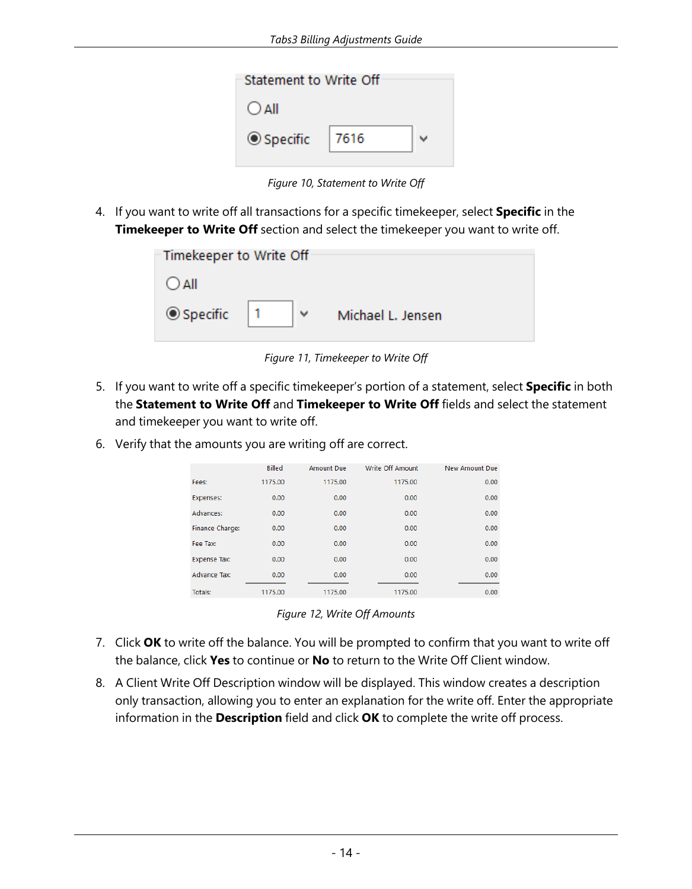| Statement to Write Off |      |  |  |  |
|------------------------|------|--|--|--|
| $O$ All                |      |  |  |  |
| ◎ Specific             | 7616 |  |  |  |
|                        |      |  |  |  |

*Figure 10, Statement to Write Off*

<span id="page-17-0"></span>4. If you want to write off all transactions for a specific timekeeper, select **Specific** in the **Timekeeper to Write Off** section and select the timekeeper you want to write off.

| -Timekeeper to Write Off $\cdot$ |   |                   |  |  |  |
|----------------------------------|---|-------------------|--|--|--|
| $O$ All                          |   |                   |  |  |  |
| ◎ Specific                       | v | Michael L. Jensen |  |  |  |

*Figure 11, Timekeeper to Write Off*

- 5. If you want to write off a specific timekeeper's portion of a statement, select **Specific** in both the **Statement to Write Off** and **Timekeeper to Write Off** fields and select the statement and timekeeper you want to write off.
- 6. Verify that the amounts you are writing off are correct.

|                     | <b>Billed</b> | Amount Due | Write Off Amount | New Amount Due |
|---------------------|---------------|------------|------------------|----------------|
| Fees:               | 1175.00       | 1175.00    | 1175.00          | 0.00           |
| Expenses:           | 0.00          | 0.00       | 0.00             | 0.00           |
| Advances:           | 0.00          | 0.00       | 0.00             | 0.00           |
| Finance Charge:     | 0.00          | 0.00       | 0.00             | 0.00           |
| Fee Tax:            | 0.00          | 0.00       | 0.00             | 0.00           |
| <b>Expense Tax:</b> | 0.00          | 0.00       | 0.00             | 0.00           |
| <b>Advance Tax:</b> | 0.00          | 0.00       | 0.00             | 0.00           |
| Totals:             | 1175.00       | 1175.00    | 1175.00          | 0.00           |

*Figure 12, Write Off Amounts*

- 7. Click **OK** to write off the balance. You will be prompted to confirm that you want to write off the balance, click **Yes** to continue or **No** to return to the Write Off Client window.
- 8. A Client Write Off Description window will be displayed. This window creates a description only transaction, allowing you to enter an explanation for the write off. Enter the appropriate information in the **Description** field and click **OK** to complete the write off process.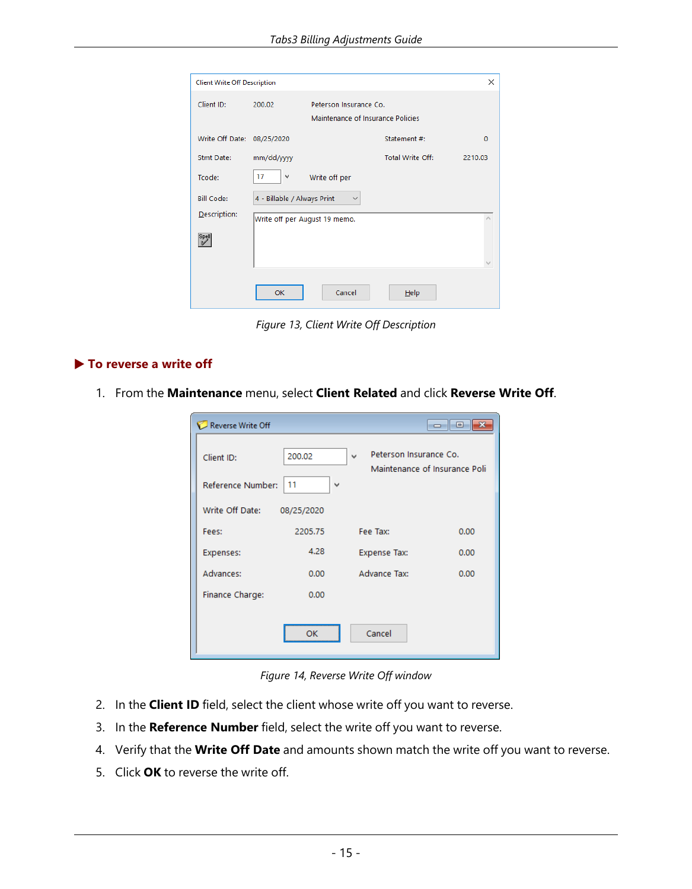| <b>Client Write Off Description</b> |                                                                       |                  | X        |
|-------------------------------------|-----------------------------------------------------------------------|------------------|----------|
| Client ID:                          | 200.02<br>Peterson Insurance Co.<br>Maintenance of Insurance Policies |                  |          |
| Write Off Date: 08/25/2020          |                                                                       | Statement #:     | $\Omega$ |
| Stmt Date:                          | mm/dd/yyyy                                                            | Total Write Off: | 2210.03  |
| Tcode:                              | 17<br>$\checkmark$<br>Write off per                                   |                  |          |
| <b>Bill Code:</b>                   | 4 - Billable / Always Print<br>$\checkmark$                           |                  |          |
| Description:                        | Write off per August 19 memo.                                         |                  |          |
| Spell                               |                                                                       |                  |          |
|                                     | OK<br>Cancel                                                          | Help             |          |

*Figure 13, Client Write Off Description*

#### <span id="page-18-0"></span>▶ **To reverse a write off**

1. From the **Maintenance** menu, select **Client Related** and click **Reverse Write Off**.

| Reverse Write Off               |                              |                                                              | $\blacksquare$ |
|---------------------------------|------------------------------|--------------------------------------------------------------|----------------|
| Client ID:<br>Reference Number: | 200.02<br>11<br>$\checkmark$ | Peterson Insurance Co.<br>v<br>Maintenance of Insurance Poli |                |
| Write Off Date:                 | 08/25/2020                   |                                                              |                |
| Fees:                           | 2205.75                      | Fee Tax:                                                     | 0.00           |
| Expenses:                       | 4.28                         | <b>Expense Tax:</b>                                          | 0.00           |
| Advances:                       | 0.00                         | <b>Advance Tax:</b>                                          | 0.00           |
| Finance Charge:                 | 0.00                         |                                                              |                |
|                                 | OK                           | Cancel                                                       |                |

*Figure 14, Reverse Write Off window*

- 2. In the **Client ID** field, select the client whose write off you want to reverse.
- 3. In the **Reference Number** field, select the write off you want to reverse.
- 4. Verify that the **Write Off Date** and amounts shown match the write off you want to reverse.
- 5. Click **OK** to reverse the write off.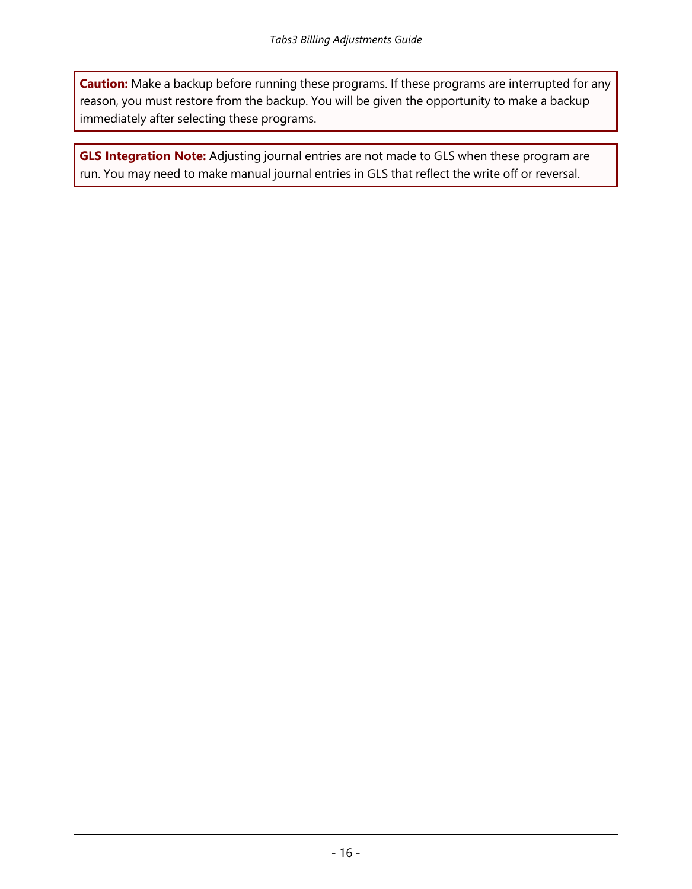**Caution:** Make a backup before running these programs. If these programs are interrupted for any reason, you must restore from the backup. You will be given the opportunity to make a backup immediately after selecting these programs.

<span id="page-19-0"></span>**GLS Integration Note:** Adjusting journal entries are not made to GLS when these program are run. You may need to make manual journal entries in GLS that reflect the write off or reversal.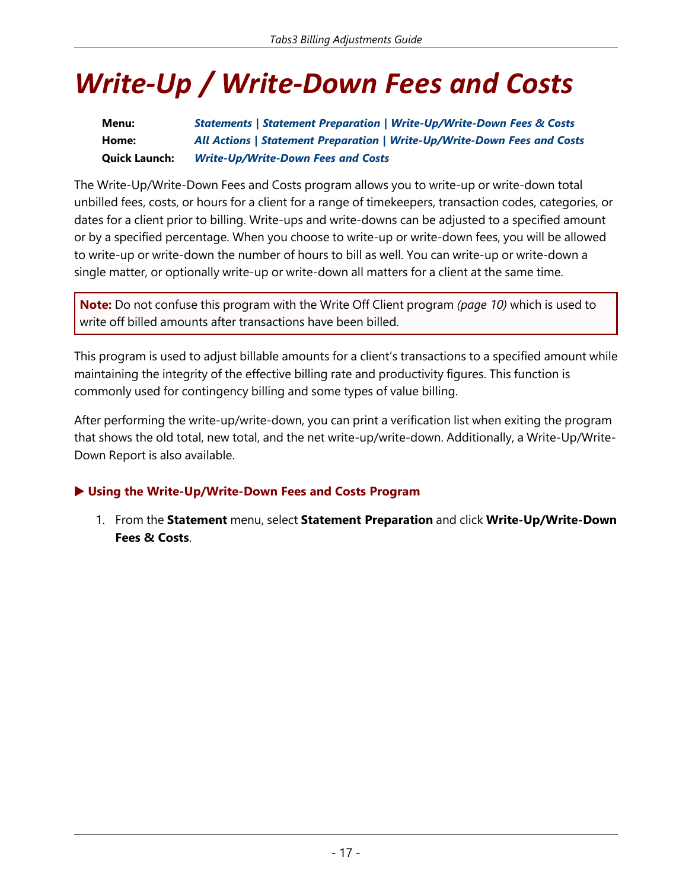# <span id="page-20-0"></span>*Write-Up / Write-Down Fees and Costs*

**Menu:** *Statements | Statement Preparation | Write-Up/Write-Down Fees & Costs* **Home:** *All Actions | Statement Preparation | Write-Up/Write-Down Fees and Costs* **Quick Launch:** *Write-Up/Write-Down Fees and Costs*

<span id="page-20-1"></span>The Write-Up/Write-Down Fees and Costs program allows you to write-up or write-down total unbilled fees, costs, or hours for a client for a range of timekeepers, transaction codes, categories, or dates for a client prior to billing. Write-ups and write-downs can be adjusted to a specified amount or by a specified percentage. When you choose to write-up or write-down fees, you will be allowed to write-up or write-down the number of hours to bill as well. You can write-up or write-down a single matter, or optionally write-up or write-down all matters for a client at the same time.

**Note:** Do not confuse this program with the Write Off Client program *([page](#page-13-0) 10)* which is used to write off billed amounts after transactions have been billed.

This program is used to adjust billable amounts for a client's transactions to a specified amount while maintaining the integrity of the effective billing rate and productivity figures. This function is commonly used for contingency billing and some types of value billing.

<span id="page-20-3"></span>After performing the write-up/write-down, you can print a verification list when exiting the program that shows the old total, new total, and the net write-up/write-down. Additionally, a Write-Up/Write-Down Report is also available.

### <span id="page-20-2"></span>▶ **Using the Write-Up/Write-Down Fees and Costs Program**

1. From the **Statement** menu, select **Statement Preparation** and click **Write-Up/Write-Down Fees & Costs**.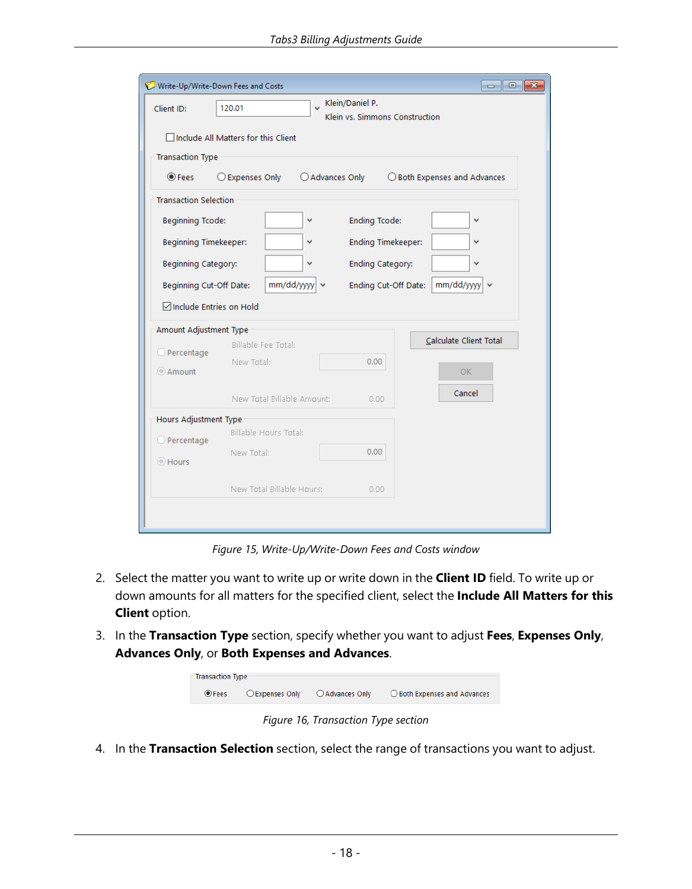| Write-Up/Write-Down Fees and Costs |                                       |                                                   | $\begin{array}{c c c c c c} \hline \multicolumn{3}{c }{\mathbf{C}} & \multicolumn{3}{c }{\mathbf{S}} & \multicolumn{3}{c }{\mathbf{X}} \end{array}$ |
|------------------------------------|---------------------------------------|---------------------------------------------------|-----------------------------------------------------------------------------------------------------------------------------------------------------|
| Client ID:                         | 120.01                                | Klein/Daniel P.<br>Klein vs. Simmons Construction |                                                                                                                                                     |
|                                    | □ Include All Matters for this Client |                                                   |                                                                                                                                                     |
| <b>Transaction Type</b>            |                                       |                                                   |                                                                                                                                                     |
| <b>◎ Fees</b>                      | ○ Expenses Only                       | Advances Only                                     | ◯ Both Expenses and Advances                                                                                                                        |
| <b>Transaction Selection</b>       |                                       |                                                   |                                                                                                                                                     |
| <b>Beginning Tcode:</b>            | v                                     | <b>Ending Tcode:</b>                              |                                                                                                                                                     |
| Beginning Timekeeper:              | v                                     | <b>Ending Timekeeper:</b>                         |                                                                                                                                                     |
| Beginning Category:                | v                                     | <b>Ending Category:</b>                           |                                                                                                                                                     |
| Beginning Cut-Off Date:            | mm/dd/yyyy<br>٧                       | Ending Cut-Off Date:                              | mm/dd/yyyy                                                                                                                                          |
| <b>∞ Include Entries on Hold</b>   |                                       |                                                   |                                                                                                                                                     |
| Amount Adjustment Type             |                                       |                                                   |                                                                                                                                                     |
| O Percentage                       | Billable Fee Total:                   |                                                   | Calculate Client Total                                                                                                                              |
| Amount                             | New Total:                            | 0.00                                              | OK.                                                                                                                                                 |
|                                    | New Total Billable Amount:            | 0.00.                                             | Cancel                                                                                                                                              |
| Hours Adjustment Type              |                                       |                                                   |                                                                                                                                                     |
| O Percentage                       | Billable Hours Total:                 |                                                   |                                                                                                                                                     |
| C Hours                            | New Total:                            | 0.00                                              |                                                                                                                                                     |
|                                    | New Total Billable Hours:             | 0.00.                                             |                                                                                                                                                     |
|                                    |                                       |                                                   |                                                                                                                                                     |
|                                    |                                       |                                                   |                                                                                                                                                     |

*Figure 15, Write-Up/Write-Down Fees and Costs window*

- <span id="page-21-0"></span>2. Select the matter you want to write up or write down in the **Client ID** field. To write up or down amounts for all matters for the specified client, select the **Include All Matters for this Client** option.
- 3. In the **Transaction Type** section, specify whether you want to adjust **Fees**, **Expenses Only**, **Advances Only**, or **Both Expenses and Advances**.



*Figure 16, Transaction Type section*

4. In the **Transaction Selection** section, select the range of transactions you want to adjust.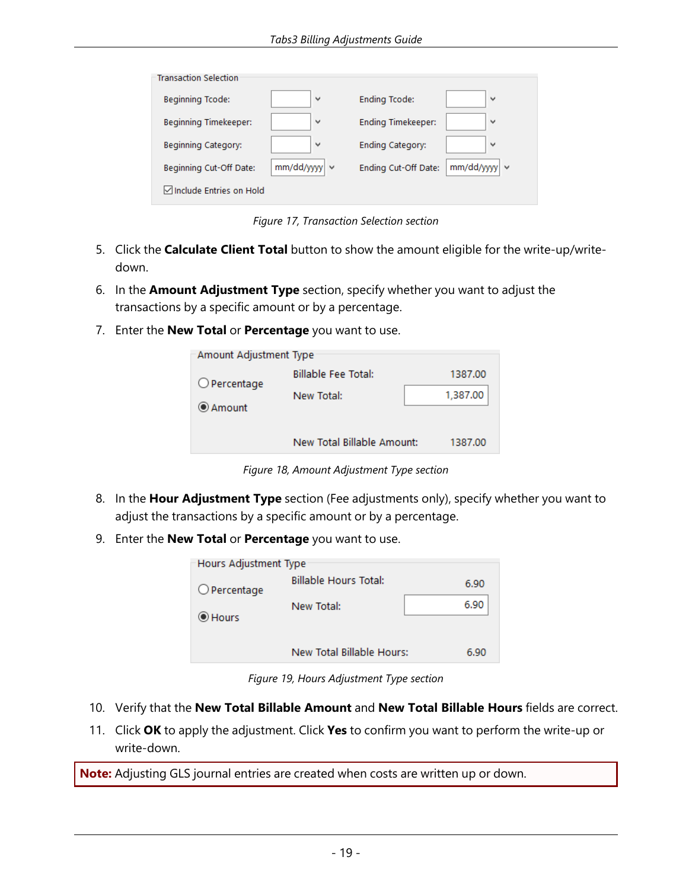| ٧                | <b>Ending Tcode:</b>      | v                  |
|------------------|---------------------------|--------------------|
| ٧                | <b>Ending Timekeeper:</b> | $\checkmark$       |
| $\checkmark$     | Ending Category:          | $\checkmark$       |
| mm/dd/yyyy<br>Ιv | Ending Cut-Off Date:      | $mm/dd/yyy$ $\vee$ |
|                  |                           |                    |
|                  | Include Entries on Hold   |                    |

*Figure 17, Transaction Selection section*

- 5. Click the **Calculate Client Total** button to show the amount eligible for the write-up/writedown.
- 6. In the **Amount Adjustment Type** section, specify whether you want to adjust the transactions by a specific amount or by a percentage.
- 7. Enter the **New Total** or **Percentage** you want to use.

| Amount Adjustment Type |                            |          |
|------------------------|----------------------------|----------|
| $\bigcirc$ Percentage  | <b>Billable Fee Total:</b> | 1387.00  |
| ◉ Amount               | New Total:                 | 1,387.00 |
|                        | New Total Billable Amount: | 1387.00  |

*Figure 18, Amount Adjustment Type section*

- 8. In the **Hour Adjustment Type** section (Fee adjustments only), specify whether you want to adjust the transactions by a specific amount or by a percentage.
- 9. Enter the **New Total** or **Percentage** you want to use.

| Hours Adjustment Type |                              |      |
|-----------------------|------------------------------|------|
| $O$ Percentage        | <b>Billable Hours Total:</b> | 6.90 |
| C Hours               | New Total:                   | 6.90 |
|                       | New Total Billable Hours:    | 6.90 |

*Figure 19, Hours Adjustment Type section*

- 10. Verify that the **New Total Billable Amount** and **New Total Billable Hours** fields are correct.
- 11. Click **OK** to apply the adjustment. Click **Yes** to confirm you want to perform the write-up or write-down.

<span id="page-22-0"></span>**Note:** Adjusting GLS journal entries are created when costs are written up or down.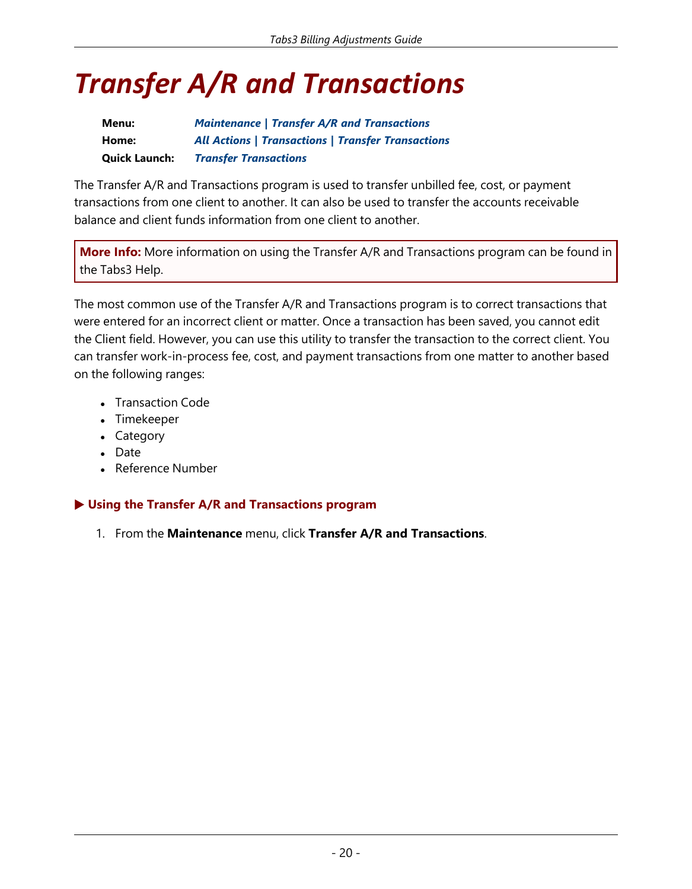# <span id="page-23-0"></span>*Transfer A/R and Transactions*

| Menu:                | <b>Maintenance   Transfer A/R and Transactions</b>        |
|----------------------|-----------------------------------------------------------|
| Home:                | <b>All Actions   Transactions   Transfer Transactions</b> |
| <b>Quick Launch:</b> | <b>Transfer Transactions</b>                              |

The Transfer A/R and Transactions program is used to transfer unbilled fee, cost, or payment transactions from one client to another. It can also be used to transfer the accounts receivable balance and client funds information from one client to another.

**More Info:** More information on using the Transfer A/R and Transactions program can be found in the Tabs3 Help.

<span id="page-23-1"></span>The most common use of the Transfer A/R and Transactions program is to correct transactions that were entered for an incorrect client or matter. Once a transaction has been saved, you cannot edit the Client field. However, you can use this utility to transfer the transaction to the correct client. You can transfer work-in-process fee, cost, and payment transactions from one matter to another based on the following ranges:

- Transaction Code
- Timekeeper
- Category
- Date
- Reference Number

#### ▶ **Using the Transfer A/R and Transactions program**

1. From the **Maintenance** menu, click **Transfer A/R and Transactions**.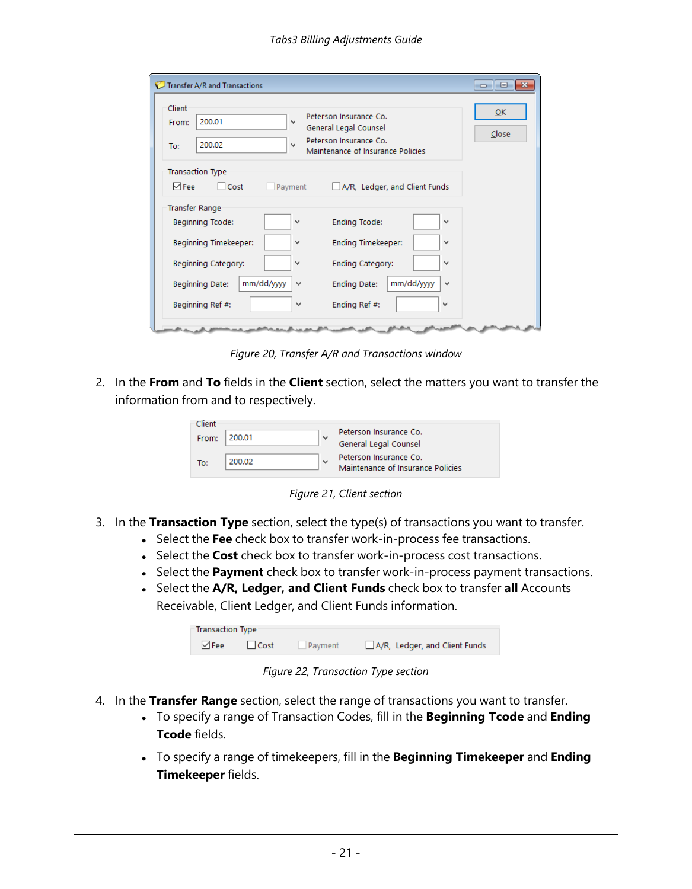| Transfer A/R and Transactions<br>Client<br>200.01<br>$\checkmark$<br>From:<br>200.02<br>$\checkmark$<br>To: | <u>— La</u><br>QK<br>Peterson Insurance Co.<br>General Legal Counsel<br>Close<br>Peterson Insurance Co.<br>Maintenance of Insurance Policies |
|-------------------------------------------------------------------------------------------------------------|----------------------------------------------------------------------------------------------------------------------------------------------|
| <b>Transaction Type</b>                                                                                     |                                                                                                                                              |
| $\triangledown$ Fee<br>$\Box$ Cost<br>Payment                                                               | A/R, Ledger, and Client Funds                                                                                                                |
| <b>Transfer Range</b><br>Beginning Tcode:<br>v                                                              | <b>Ending Tcode:</b><br>$\checkmark$                                                                                                         |
| Beginning Timekeeper:<br>v                                                                                  | <b>Ending Timekeeper:</b><br>$\checkmark$                                                                                                    |
| Beginning Category:<br>v                                                                                    | Ending Category:<br>$\checkmark$                                                                                                             |
| mm/dd/yyyy<br><b>Beginning Date:</b><br>$\checkmark$                                                        | mm/dd/yyyy<br><b>Ending Date:</b><br>$\checkmark$                                                                                            |
| Beginning Ref #:<br>v                                                                                       | Ending Ref #:<br>$\checkmark$                                                                                                                |
|                                                                                                             |                                                                                                                                              |

*Figure 20, Transfer A/R and Transactions window*

<span id="page-24-0"></span>2. In the **From** and **To** fields in the **Client** section, select the matters you want to transfer the information from and to respectively.

| Client |        |              |                                   |
|--------|--------|--------------|-----------------------------------|
| From:  | 200.01 | $\checkmark$ | Peterson Insurance Co.            |
|        |        |              | General Legal Counsel             |
|        |        |              | Peterson Insurance Co.            |
| To:    | 200.02 | $\checkmark$ | Maintenance of Insurance Policies |
|        |        |              |                                   |

*Figure 21, Client section*

- 3. In the **Transaction Type** section, select the type(s) of transactions you want to transfer.
	- **.** Select the Fee check box to transfer work-in-process fee transactions.
	- **.** Select the **Cost** check box to transfer work-in-process cost transactions.
	- **.** Select the **Payment** check box to transfer work-in-process payment transactions.
	- <sup>l</sup> Select the **A/R, Ledger, and Client Funds** check box to transfer **all** Accounts Receivable, Client Ledger, and Client Funds information.

| $\triangledown$ Fee<br>$\Box$ Cost | Payment | A/R, Ledger, and Client Funds |
|------------------------------------|---------|-------------------------------|

*Figure 22, Transaction Type section*

- 4. In the **Transfer Range** section, select the range of transactions you want to transfer.
	- <sup>l</sup> To specify a range of Transaction Codes, fill in the **Beginning Tcode** and **Ending Tcode** fields.
	- <sup>l</sup> To specify a range of timekeepers, fill in the **Beginning Timekeeper** and **Ending Timekeeper** fields.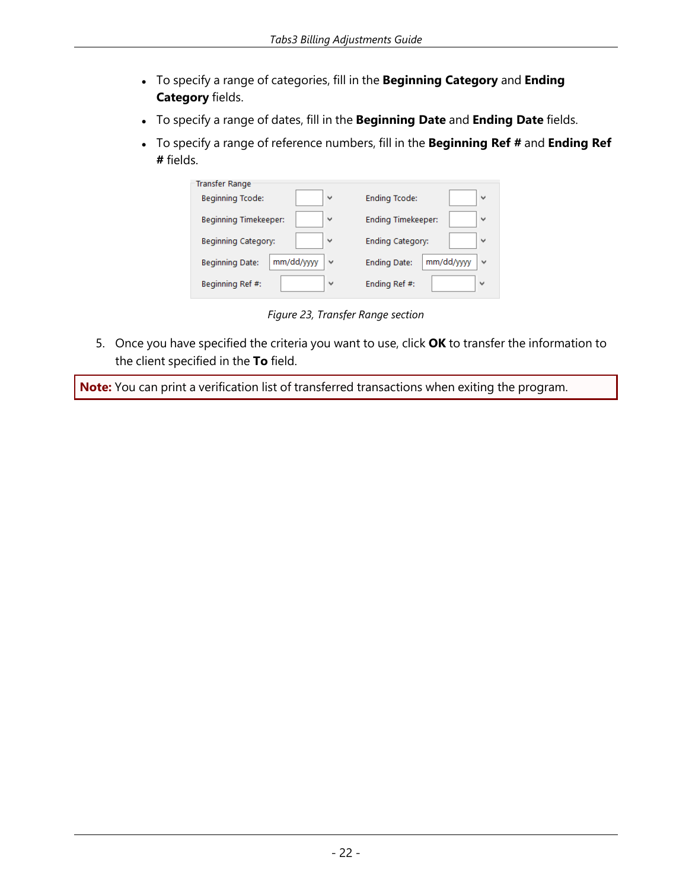- <sup>l</sup> To specify a range of categories, fill in the **Beginning Category** and **Ending Category** fields.
- <sup>l</sup> To specify a range of dates, fill in the **Beginning Date** and **Ending Date** fields.
- <sup>l</sup> To specify a range of reference numbers, fill in the **Beginning Ref #** and **Ending Ref #** fields.

| <b>Transfer Range</b>  |                           |
|------------------------|---------------------------|
| Beginning Tcode:       | <b>Ending Tcode:</b>      |
| $\checkmark$           | v                         |
| Beginning Timekeeper:  | <b>Ending Timekeeper:</b> |
| v                      | v                         |
| Beginning Category:    | <b>Ending Category:</b>   |
| $\checkmark$           | $\checkmark$              |
| mm/dd/yyyy             | mm/dd/yyyy                |
| <b>Beginning Date:</b> | <b>Ending Date:</b>       |
| $\checkmark$           | $\checkmark$              |
| Beginning Ref #:       | Ending Ref #:             |
| v                      | v                         |

*Figure 23, Transfer Range section*

5. Once you have specified the criteria you want to use, click **OK** to transfer the information to the client specified in the **To** field.

<span id="page-25-0"></span>**Note:** You can print a verification list of transferred transactions when exiting the program.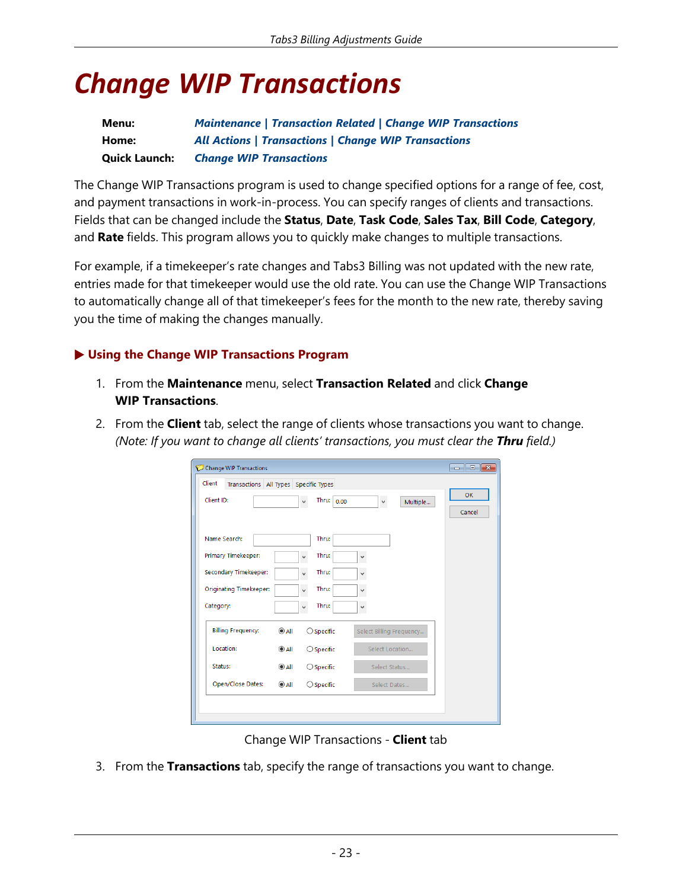# <span id="page-26-0"></span>*Change WIP Transactions*

| Menu:                | <b>Maintenance   Transaction Related   Change WIP Transactions</b> |
|----------------------|--------------------------------------------------------------------|
| Home:                | <b>All Actions   Transactions   Change WIP Transactions</b>        |
| <b>Quick Launch:</b> | <b>Change WIP Transactions</b>                                     |

<span id="page-26-1"></span>The Change WIP Transactions program is used to change specified options for a range of fee, cost, and payment transactions in work-in-process. You can specify ranges of clients and transactions. Fields that can be changed include the **Status**, **Date**, **Task Code**, **Sales Tax**, **Bill Code**, **Category**, and **Rate** fields. This program allows you to quickly make changes to multiple transactions.

<span id="page-26-2"></span>For example, if a timekeeper's rate changes and Tabs3 Billing was not updated with the new rate, entries made for that timekeeper would use the old rate. You can use the Change WIP Transactions to automatically change all of that timekeeper's fees for the month to the new rate, thereby saving you the time of making the changes manually.

### ▶ **Using the Change WIP Transactions Program**

- 1. From the **Maintenance** menu, select **Transaction Related** and click **Change WIP Transactions**.
- 2. From the **Client** tab, select the range of clients whose transactions you want to change. *(Note: If you want to change all clients' transactions, you must clear the Thru field.)*

| <b>Change WIP Transactions</b>                         |                |                               |                          | $\overline{\phantom{a}}$ $\overline{\phantom{a}}$<br>$\mathbf{x}$ |
|--------------------------------------------------------|----------------|-------------------------------|--------------------------|-------------------------------------------------------------------|
| <b>Client</b><br>Transactions All Types Specific Types |                |                               |                          |                                                                   |
| Client ID:                                             |                | Thru:<br>0.00<br>$\checkmark$ | Multiple<br>v            | OK                                                                |
|                                                        |                |                               |                          | Cancel                                                            |
| Name Search:                                           |                | Thru:                         |                          |                                                                   |
| <b>Primary Timekeeper:</b>                             |                | Thru:<br>$\checkmark$         | v                        |                                                                   |
| Secondary Timekeeper:                                  |                | Thru:<br>$\checkmark$         | v                        |                                                                   |
| <b>Originating Timekeeper:</b>                         |                | Thru:<br>$\checkmark$         | $\checkmark$             |                                                                   |
| Category:                                              |                | Thru:<br>$\checkmark$         | v                        |                                                                   |
| <b>Billing Frequency:</b>                              | @AII           | $\bigcirc$ Specific           | Select Billing Frequency |                                                                   |
| Location:                                              | @AII           | $\bigcirc$ Specific           | Select Location          |                                                                   |
| Status:                                                | @AII           | $\bigcirc$ Specific           | Select Status            |                                                                   |
| Open/Close Dates:                                      | $^{\circ}$ All | $\bigcirc$ Specific           | Select Dates             |                                                                   |
|                                                        |                |                               |                          |                                                                   |
|                                                        |                |                               |                          |                                                                   |

Change WIP Transactions - **Client** tab

3. From the **Transactions** tab, specify the range of transactions you want to change.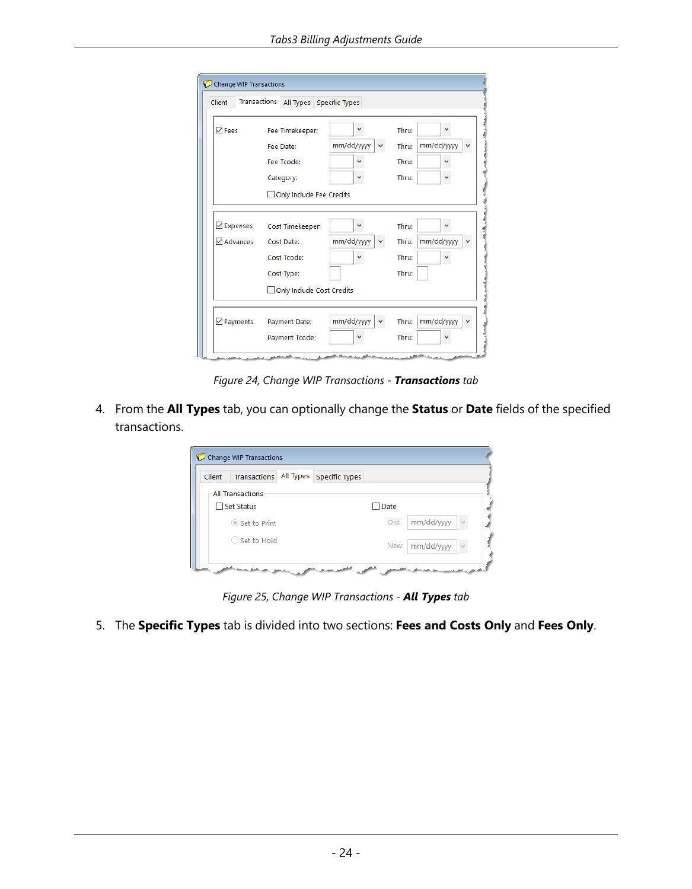| Transactions<br>Client | All Types Specific Types    |                 |                                     |
|------------------------|-----------------------------|-----------------|-------------------------------------|
| $\boxdot$ Fees         | Fee Timekeeper:             | v               | $\checkmark$<br>Thru:               |
|                        | Fee Date:                   | mm/dd/yyyy      | mm/dd/yyyy<br>Thru:<br>$\checkmark$ |
|                        | Fee Tcode:                  |                 | Thru:<br>$\checkmark$               |
|                        | Category:                   | v               | Thru:<br>v                          |
|                        | Only Include Fee Credits    |                 |                                     |
| Expenses               | Cost Timekeeper:            | v               | Thru:<br>$\checkmark$               |
| Advances               | Cost Date:                  | mm/dd/yyyy<br>v | mm/dd/yyyy<br>Thru:<br>v            |
|                        | Cost Tcode:                 |                 | Thru:<br>v                          |
|                        | Cost Type:                  |                 | Thru:                               |
|                        | □ Only Include Cost Credits |                 |                                     |
| $\boxdot$ Payments     | Payment Date:               | mm/dd/yyyy      | mm/dd/yyyy<br>Thru:                 |
|                        | Payment Tcode:              |                 | Thru:<br>$\checkmark$               |

*Figure 24, Change WIP Transactions - Transactions tab*

4. From the **All Types** tab, you can optionally change the **Status** or **Date** fields of the specified transactions.

| Client | Transactions            | All Types Specific Types |      |            |  |
|--------|-------------------------|--------------------------|------|------------|--|
|        | <b>All Transactions</b> |                          |      |            |  |
|        | $\Box$ Set Status       |                          | Date |            |  |
|        | Set to Print            |                          | Old: | mm/dd/yyyy |  |
|        | ○ Set to Hold           |                          | New: | mm/dd/yyyy |  |

*Figure 25, Change WIP Transactions - All Types tab*

5. The **Specific Types** tab is divided into two sections: **Fees and Costs Only** and **Fees Only**.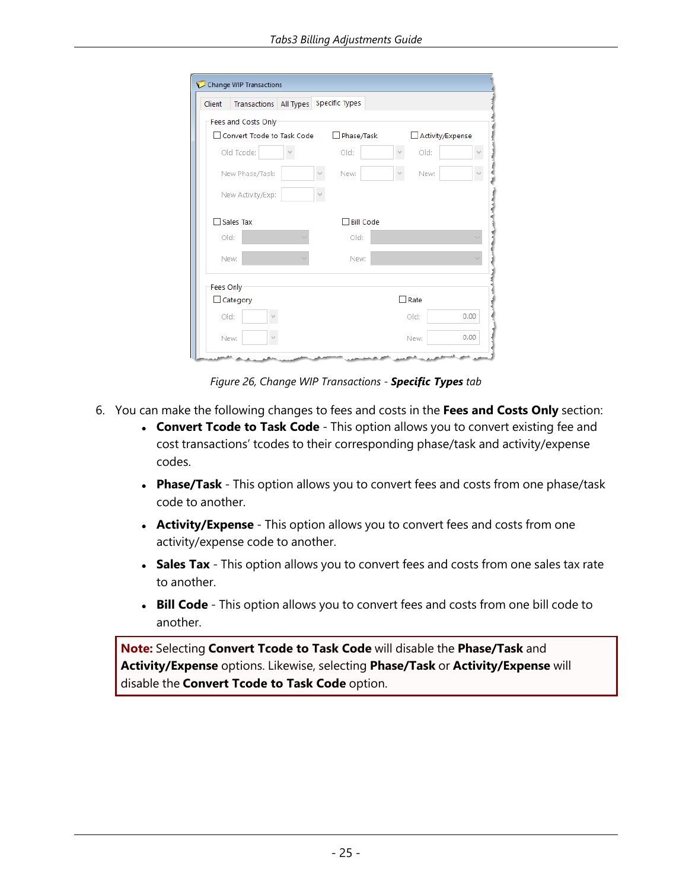| Client    | <b>Transactions</b> All Types |  | <b>Specific Types</b> |      |                  |
|-----------|-------------------------------|--|-----------------------|------|------------------|
|           | Fees and Costs Only           |  |                       |      |                  |
|           | □ Convert Tcode to Task Code  |  | Phase/Task            |      | Activity/Expense |
|           | Old Tcode:                    |  | Old:                  | old: |                  |
|           | New Phase/Task:               |  | New:                  | New: |                  |
|           | New Activity/Exp:             |  |                       |      |                  |
|           | $\Box$ Sales Tax              |  | <b>Bill Code</b>      |      |                  |
|           | old:                          |  | old:                  |      |                  |
|           | New:                          |  | New:                  |      |                  |
|           |                               |  |                       |      |                  |
| Fees Only |                               |  |                       |      |                  |
|           | $\Box$ Category               |  |                       | Rate |                  |
|           | old:                          |  |                       | old: | 0.00             |

<span id="page-28-0"></span>*Figure 26, Change WIP Transactions - Specific Types tab*

- <span id="page-28-1"></span>6. You can make the following changes to fees and costs in the **Fees and Costs Only** section:
	- **.** Convert Tcode to Task Code This option allows you to convert existing fee and cost transactions' tcodes to their corresponding phase/task and activity/expense codes.
	- **Phase/Task** This option allows you to convert fees and costs from one phase/task code to another.
	- **Activity/Expense** This option allows you to convert fees and costs from one activity/expense code to another.
	- **Sales Tax** This option allows you to convert fees and costs from one sales tax rate to another.
	- **Bill Code** This option allows you to convert fees and costs from one bill code to another.

**Note:** Selecting **Convert Tcode to Task Code** will disable the **Phase/Task** and **Activity/Expense** options. Likewise, selecting **Phase/Task** or **Activity/Expense** will disable the **Convert Tcode to Task Code** option.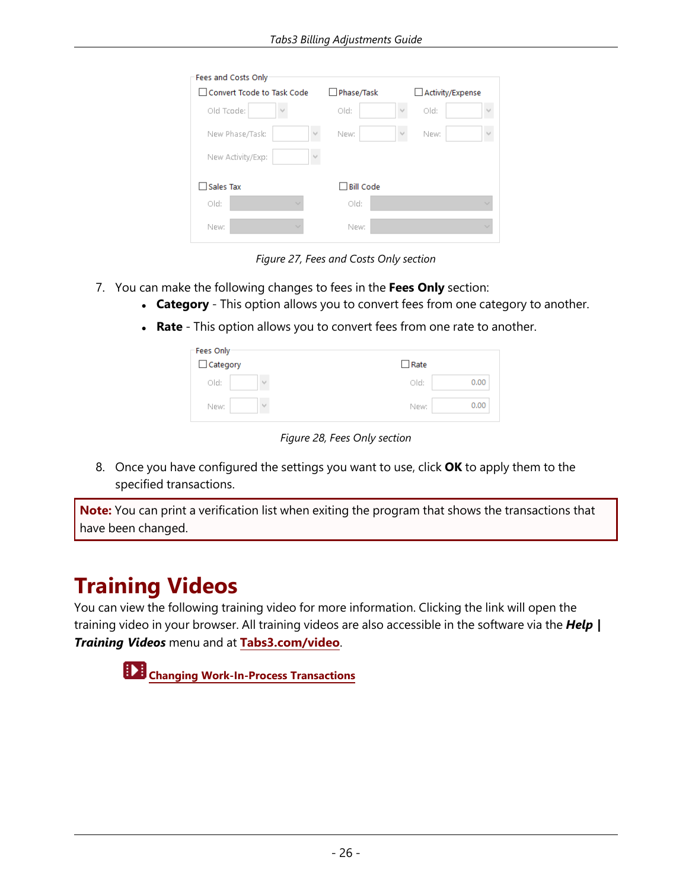| Fees and Costs Only        |                  |               |                  |              |
|----------------------------|------------------|---------------|------------------|--------------|
| Convert Tcode to Task Code | Phase/Task       |               | Activity/Expense |              |
| Old Tcode:                 | old:             |               | old:             | W            |
| New Phase/Task:<br>$\sim$  | New:             | $\mathcal{Q}$ | New:             | M            |
| New Activity/Exp:<br>M     |                  |               |                  |              |
| <b>Sales Tax</b>           | <b>Bill Code</b> |               |                  |              |
| old:<br>$\checkmark$       | old:             |               |                  | $\checkmark$ |
| New:<br>$\checkmark$       | New:             |               |                  | $\checkmark$ |

*Figure 27, Fees and Costs Only section*

- 7. You can make the following changes to fees in the **Fees Only** section:
	- **Category** This option allows you to convert fees from one category to another.
	- **Rate** This option allows you to convert fees from one rate to another.

| Fees Only<br>Category | Rate         |
|-----------------------|--------------|
| old:<br>w             | 0.00<br>old: |
| New:                  | 0.00<br>New: |

*Figure 28, Fees Only section*

8. Once you have configured the settings you want to use, click **OK** to apply them to the specified transactions.

<span id="page-29-0"></span>**Note:** You can print a verification list when exiting the program that shows the transactions that have been changed.

### **Training Videos**

You can view the following training video for more information. Clicking the link will open the training video in your browser. All training videos are also accessible in the software via the *Help | Training Videos* menu and at **[Tabs3.com/video](https://www.tabs3.com/video)**.

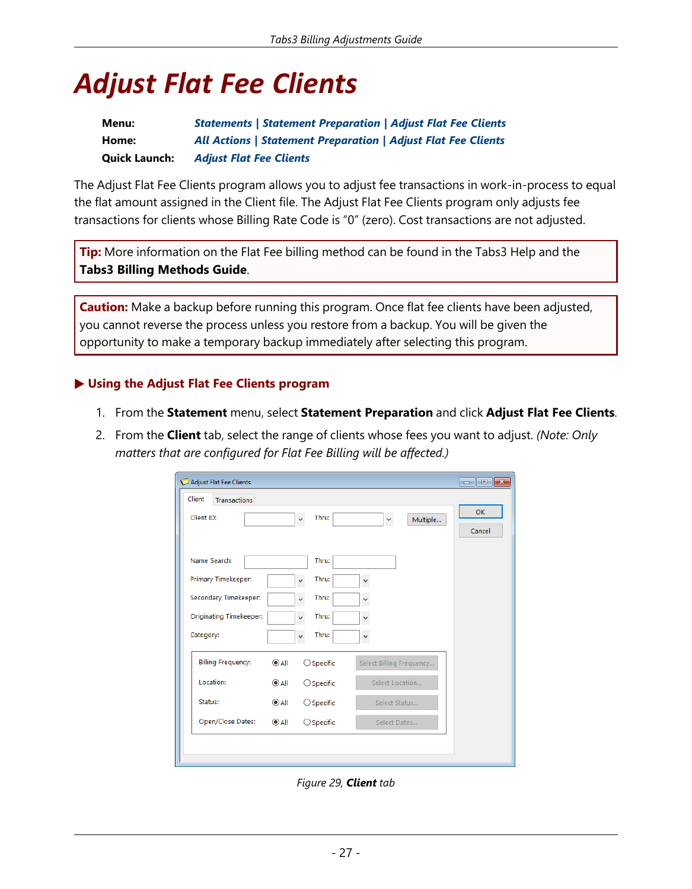# <span id="page-30-0"></span>*Adjust Flat Fee Clients*

| Menu:                | <b>Statements   Statement Preparation   Adjust Flat Fee Clients</b>  |
|----------------------|----------------------------------------------------------------------|
| Home:                | <b>All Actions   Statement Preparation   Adjust Flat Fee Clients</b> |
| <b>Quick Launch:</b> | <b>Adjust Flat Fee Clients</b>                                       |

<span id="page-30-1"></span>The Adjust Flat Fee Clients program allows you to adjust fee transactions in work-in-process to equal the flat amount assigned in the Client file. The Adjust Flat Fee Clients program only adjusts fee transactions for clients whose Billing Rate Code is "0" (zero). Cost transactions are not adjusted.

**Tip:** More information on the Flat Fee billing method can be found in the Tabs3 Help and the **Tabs3 Billing Methods Guide**.

**Caution:** Make a backup before running this program. Once flat fee clients have been adjusted, you cannot reverse the process unless you restore from a backup. You will be given the opportunity to make a temporary backup immediately after selecting this program.

#### ▶ **Using the Adjust Flat Fee Clients program**

- 1. From the **Statement** menu, select **Statement Preparation** and click **Adjust Flat Fee Clients**.
- 2. From the **Client** tab, select the range of clients whose fees you want to adjust. *(Note: Only matters that are configured for Flat Fee Billing will be affected.)*

| Adjust Flat Fee Clients              |                                       |                          | $ -$<br>$\mathbb{R}$ |
|--------------------------------------|---------------------------------------|--------------------------|----------------------|
| <b>Client</b><br><b>Transactions</b> |                                       |                          |                      |
| Client ID:                           | Thru:<br>v                            | Multiple<br>v            | <b>OK</b><br>Cancel  |
| Name Search:                         | Thru:                                 |                          |                      |
| Primary Timekeeper:                  | Thru:<br>$\checkmark$                 | $\checkmark$             |                      |
| Secondary Timekeeper:                | Thru:<br>$\checkmark$                 | v                        |                      |
| Originating Timekeeper:              | Thru:<br>$\checkmark$                 | $\checkmark$             |                      |
| Category:                            | Thru:<br>$\checkmark$                 | $\checkmark$             |                      |
| <b>Billing Frequency:</b>            | $^{\circ}$ All<br>$\bigcirc$ Specific | Select Billing Frequency |                      |
| Location:                            | $^{\circ}$ All<br>$\bigcirc$ Specific | Select Location          |                      |
| Status:                              | $^{\circ}$ All<br>$\bigcirc$ Specific | Select Status            |                      |
| Open/Close Dates:                    | $\odot$ All<br>$\bigcirc$ Specific    | Select Dates             |                      |
|                                      |                                       |                          |                      |

<span id="page-30-2"></span>*Figure 29, Client tab*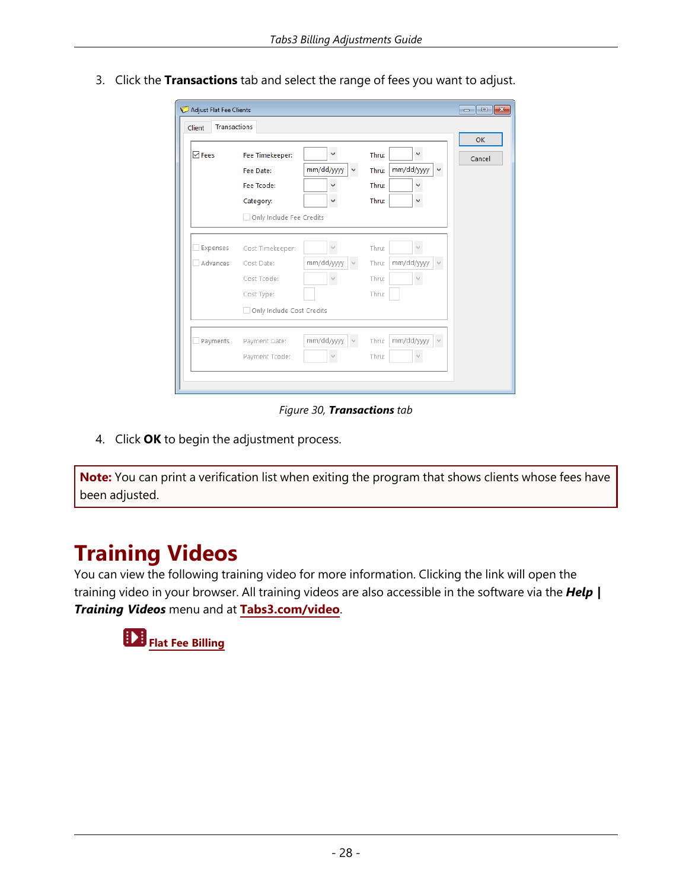|               |                           |                            |                                      | <b>OK</b> |
|---------------|---------------------------|----------------------------|--------------------------------------|-----------|
| $\nabla$ Fees | Fee Timekeeper:           | $\checkmark$               | v<br>Thru:                           | Cancel    |
|               | Fee Date:                 | mm/dd/yyyy<br>$\checkmark$ | mm/dd/yyyy<br>Thru:<br>$\checkmark$  |           |
|               | Fee Tcode:                | v                          | Thru:<br>v                           |           |
|               | Category:                 | $\checkmark$               | Thru:<br>v                           |           |
|               | Only Include Fee Credits  |                            |                                      |           |
|               |                           |                            |                                      |           |
| Expenses      | Cost Timekeeper:          | $\sim$                     | Thru:<br>v                           |           |
| Advances      | Cost Date:                | mm/dd/yyyy<br>v            | mm/dd/yyyy<br>Thru:<br>$\mathcal{A}$ |           |
|               | Cost Tcode:               | $\sim$                     | Thru:                                |           |
|               | Cost Type:                |                            | Thru:                                |           |
|               | Only Include Cost Credits |                            |                                      |           |
|               |                           |                            |                                      |           |
| Payments      | Payment Date:             | mm/dd/yyyy                 | mm/dd/yyyy<br>Thru:<br>$\sim$        |           |

3. Click the **Transactions** tab and select the range of fees you want to adjust.

*Figure 30, Transactions tab*

4. Click **OK** to begin the adjustment process.

<span id="page-31-0"></span>**Note:** You can print a verification list when exiting the program that shows clients whose fees have been adjusted.

### **Training Videos**

You can view the following training video for more information. Clicking the link will open the training video in your browser. All training videos are also accessible in the software via the *Help | Training Videos* menu and at **[Tabs3.com/video](https://www.tabs3.com/video)**.

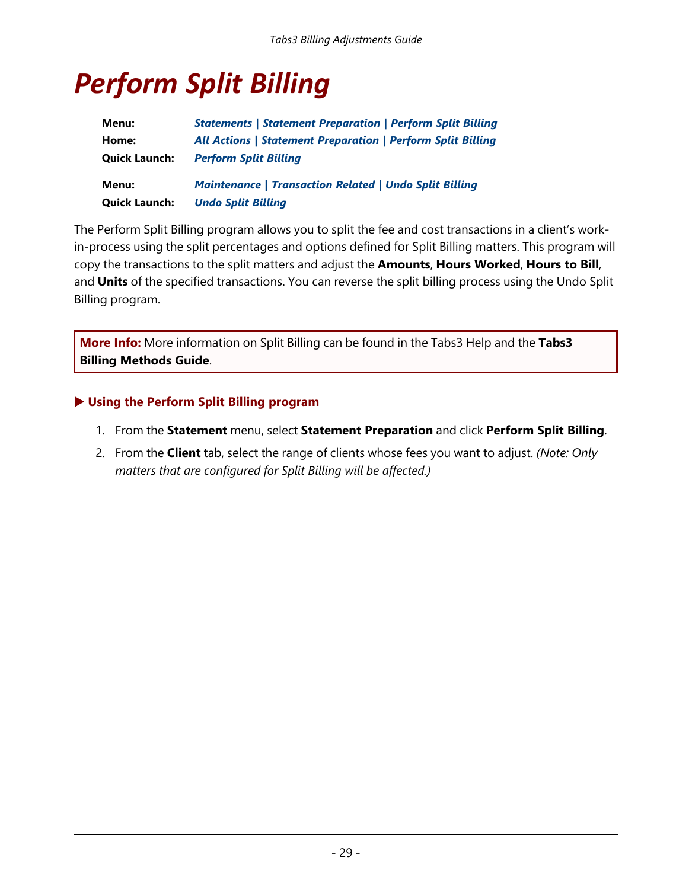# <span id="page-32-0"></span>*Perform Split Billing*

| Menu:                | <b>Statements   Statement Preparation   Perform Split Billing</b>  |
|----------------------|--------------------------------------------------------------------|
| Home:                | <b>All Actions   Statement Preparation   Perform Split Billing</b> |
| <b>Quick Launch:</b> | <b>Perform Split Billing</b>                                       |
| Menu:                | <b>Maintenance   Transaction Related   Undo Split Billing</b>      |
| <b>Quick Launch:</b> | <b>Undo Split Billing</b>                                          |

<span id="page-32-1"></span>The Perform Split Billing program allows you to split the fee and cost transactions in a client's workin-process using the split percentages and options defined for Split Billing matters. This program will copy the transactions to the split matters and adjust the **Amounts**, **Hours Worked**, **Hours to Bill**, and **Units** of the specified transactions. You can reverse the split billing process using the Undo Split Billing program.

**More Info:** More information on Split Billing can be found in the Tabs3 Help and the **Tabs3 Billing Methods Guide**.

#### ▶ **Using the Perform Split Billing program**

- 1. From the **Statement** menu, select **Statement Preparation** and click **Perform Split Billing**.
- 2. From the **Client** tab, select the range of clients whose fees you want to adjust. *(Note: Only matters that are configured for Split Billing will be affected.)*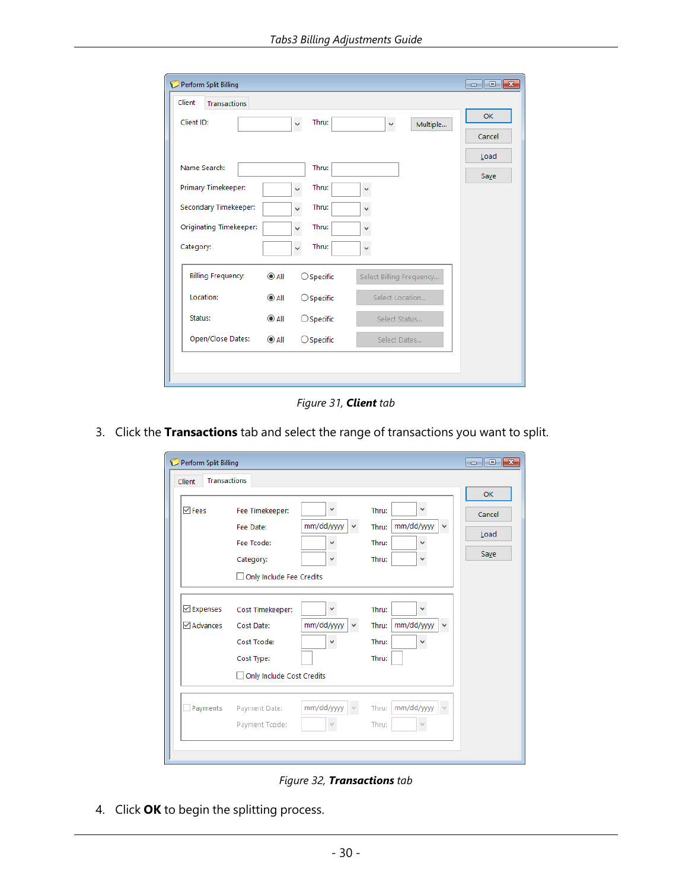| Perform Split Billing          |                |                       |                          | $\begin{array}{c c c c c c} \hline \multicolumn{3}{c }{\mathbf{C}} & \multicolumn{3}{c }{\mathbf{C}} & \multicolumn{3}{c }{\mathbf{X}} \\\hline \multicolumn{3}{c }{\mathbf{C}} & \multicolumn{3}{c }{\mathbf{C}} & \multicolumn{3}{c }{\mathbf{X}} \\\hline \multicolumn{3}{c }{\mathbf{C}} & \multicolumn{3}{c }{\mathbf{C}} & \multicolumn{3}{c }{\mathbf{X}} \\\hline \multicolumn{3}{c }{\mathbf{D}} & \multicolumn{3}{c }{\mathbf{C}} & \multicolumn$ |
|--------------------------------|----------------|-----------------------|--------------------------|-------------------------------------------------------------------------------------------------------------------------------------------------------------------------------------------------------------------------------------------------------------------------------------------------------------------------------------------------------------------------------------------------------------------------------------------------------------|
| Client<br><b>Transactions</b>  |                |                       |                          |                                                                                                                                                                                                                                                                                                                                                                                                                                                             |
| Client ID:                     |                | Thru:<br>$\checkmark$ | Multiple<br>v            | OK                                                                                                                                                                                                                                                                                                                                                                                                                                                          |
|                                |                |                       |                          | Cancel                                                                                                                                                                                                                                                                                                                                                                                                                                                      |
|                                |                |                       |                          | Load                                                                                                                                                                                                                                                                                                                                                                                                                                                        |
| Name Search:                   |                | Thru:                 |                          | Save                                                                                                                                                                                                                                                                                                                                                                                                                                                        |
| Primary Timekeeper:            |                | Thru:<br>$\checkmark$ | v                        |                                                                                                                                                                                                                                                                                                                                                                                                                                                             |
| Secondary Timekeeper:          |                | Thru:<br>$\checkmark$ | $\checkmark$             |                                                                                                                                                                                                                                                                                                                                                                                                                                                             |
| <b>Originating Timekeeper:</b> |                | Thru:<br>$\checkmark$ | v                        |                                                                                                                                                                                                                                                                                                                                                                                                                                                             |
| Category:                      |                | Thru:<br>v            | v                        |                                                                                                                                                                                                                                                                                                                                                                                                                                                             |
| <b>Billing Frequency:</b>      | $^{\circ}$ All | $\bigcirc$ Specific   | Select Billing Frequency |                                                                                                                                                                                                                                                                                                                                                                                                                                                             |
| Location:                      | $\odot$ All    | $\bigcirc$ Specific   | Select Location          |                                                                                                                                                                                                                                                                                                                                                                                                                                                             |
| Status:                        | $^{\circ}$ All | $\bigcirc$ Specific   | Select Status            |                                                                                                                                                                                                                                                                                                                                                                                                                                                             |
| Open/Close Dates:              | $\odot$ All    | $\bigcirc$ Specific   | Select Dates             |                                                                                                                                                                                                                                                                                                                                                                                                                                                             |
|                                |                |                       |                          |                                                                                                                                                                                                                                                                                                                                                                                                                                                             |
|                                |                |                       |                          |                                                                                                                                                                                                                                                                                                                                                                                                                                                             |

*Figure 31, Client tab*

3. Click the **Transactions** tab and select the range of transactions you want to split.

| <b>Perform Split Billing</b><br>C |                                                                                          |                                                 |                                                                          | - 0<br>$\mathbf{x}$ |
|-----------------------------------|------------------------------------------------------------------------------------------|-------------------------------------------------|--------------------------------------------------------------------------|---------------------|
| <b>Transactions</b><br>Client     |                                                                                          |                                                 |                                                                          |                     |
| $\overline{\vee}$ Fees            | Fee Timekeeper:<br>Fee Date:                                                             | v<br>mm/dd/yyyy<br>v                            | $\checkmark$<br>Thru:<br>mm/dd/yyyy<br>$\checkmark$<br>Thru:             | OK<br>Cancel        |
|                                   | Fee Tcode:<br>Category:<br>Only Include Fee Credits                                      | $\checkmark$<br>$\checkmark$                    | Thru:<br>$\checkmark$<br>Thru:<br>v                                      | Load<br>Save        |
| <b>⊡</b> Expenses<br>Advances     | Cost Timekeeper:<br>Cost Date:<br>Cost Tcode:<br>Cost Type:<br>Only Include Cost Credits | $\checkmark$<br>mm/dd/yyyy<br>v<br>$\checkmark$ | v<br>Thru:<br>mm/dd/yyyy<br>Thru:<br>$\checkmark$<br>Thru:<br>v<br>Thru: |                     |
| Payments                          | Payment Date:<br>Payment Tcode:                                                          | mm/dd/yyyy                                      | mm/dd/yyyy<br>Thru:<br>Thru:                                             |                     |

*Figure 32, Transactions tab*

<span id="page-33-0"></span>4. Click **OK** to begin the splitting process.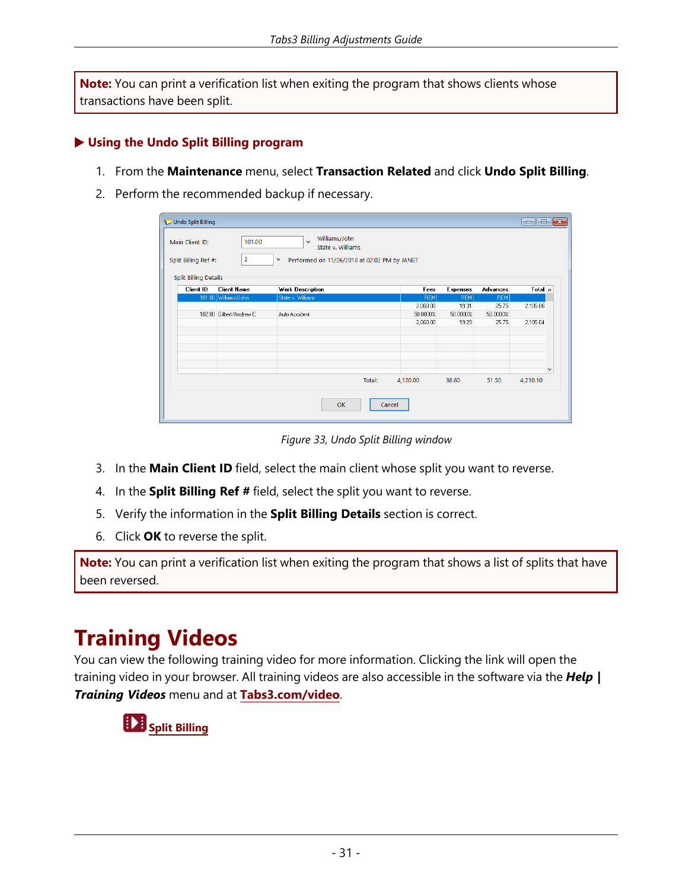<span id="page-34-1"></span>**Note:** You can print a verification list when exiting the program that shows clients whose transactions have been split.

#### <span id="page-34-0"></span>▶ **Using the Undo Split Billing program**

- 1. From the **Maintenance** menu, select **Transaction Related** and click **Undo Split Billing**.
- 2. Perform the recommended backup if necessary.

| Undo Split Billing                                                      |                          |                                                                                                              |        |            |            |                 | $\begin{array}{c c c c c c} \hline \multicolumn{3}{c }{\mathbf{C}} & \multicolumn{3}{c }{\mathbf{C}} & \multicolumn{3}{c }{\mathbf{X}} \\\hline \multicolumn{3}{c }{\mathbf{C}} & \multicolumn{3}{c }{\mathbf{D}} & \multicolumn{3}{c }{\mathbf{X}} \\\hline \multicolumn{3}{c }{\mathbf{D}} & \multicolumn{3}{c }{\mathbf{S}} & \multicolumn{3}{c }{\mathbf{S}} \end{array} \end{array}$ |
|-------------------------------------------------------------------------|--------------------------|--------------------------------------------------------------------------------------------------------------|--------|------------|------------|-----------------|-------------------------------------------------------------------------------------------------------------------------------------------------------------------------------------------------------------------------------------------------------------------------------------------------------------------------------------------------------------------------------------------|
| Main Client ID:<br>Split Billing Ref #:<br><b>Split Billing Details</b> | 101.00<br>$\overline{2}$ | Williams/John<br>$\vee$<br>State v. Williams<br>$\checkmark$<br>Performed on 11/26/2018 at 02:02 PM by JANET |        |            |            |                 |                                                                                                                                                                                                                                                                                                                                                                                           |
| <b>Client ID</b>                                                        | <b>Client Name</b>       | <b>Work Description</b>                                                                                      |        | Fees       | Expenses   | <b>Advances</b> | Total $\wedge$                                                                                                                                                                                                                                                                                                                                                                            |
|                                                                         | 101.00 Williams/John     | State v. Williams                                                                                            |        | <b>REM</b> | <b>REM</b> | <b>REM</b>      |                                                                                                                                                                                                                                                                                                                                                                                           |
|                                                                         |                          |                                                                                                              |        | 2,060.00   | 19.31      | 25.75           | 2,105.06                                                                                                                                                                                                                                                                                                                                                                                  |
|                                                                         | 102.00 Gilbert/Andrew C. | Auto Accident                                                                                                |        | 50.0000%   | 50,0000%   | 50.0000%        |                                                                                                                                                                                                                                                                                                                                                                                           |
|                                                                         |                          |                                                                                                              |        | 2,060.00   | 19.29      | 25.75           | 2,105.04                                                                                                                                                                                                                                                                                                                                                                                  |
|                                                                         |                          |                                                                                                              |        |            |            |                 |                                                                                                                                                                                                                                                                                                                                                                                           |
|                                                                         |                          |                                                                                                              |        |            |            |                 | $\checkmark$                                                                                                                                                                                                                                                                                                                                                                              |
|                                                                         |                          |                                                                                                              | Total: | 4,120.00   | 38.60      | 51.50           | 4,210.10                                                                                                                                                                                                                                                                                                                                                                                  |
|                                                                         |                          | OK                                                                                                           | Cancel |            |            |                 |                                                                                                                                                                                                                                                                                                                                                                                           |

*Figure 33, Undo Split Billing window*

- <span id="page-34-2"></span>3. In the **Main Client ID** field, select the main client whose split you want to reverse.
- 4. In the **Split Billing Ref #** field, select the split you want to reverse.
- 5. Verify the information in the **Split Billing Details** section is correct.
- <span id="page-34-3"></span>6. Click **OK** to reverse the split.

**Note:** You can print a verification list when exiting the program that shows a list of splits that have been reversed.

### **Training Videos**

You can view the following training video for more information. Clicking the link will open the training video in your browser. All training videos are also accessible in the software via the *Help | Training Videos* menu and at **[Tabs3.com/video](https://www.tabs3.com/video)**.

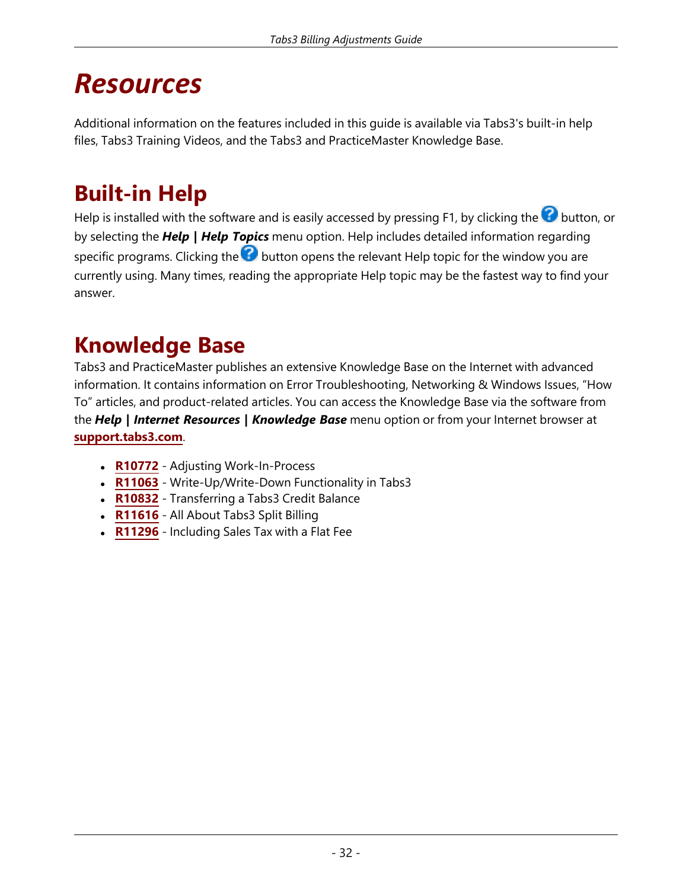### <span id="page-35-0"></span>*Resources*

Additional information on the features included in this guide is available via Tabs3's built-in help files, Tabs3 Training Videos, and the Tabs3 and PracticeMaster Knowledge Base.

### <span id="page-35-1"></span>**Built-in Help**

Help is installed with the software and is easily accessed by pressing F1, by clicking the  $\bullet$  button, or by selecting the *Help | Help Topics* menu option. Help includes detailed information regarding specific programs. Clicking the  $\odot$  button opens the relevant Help topic for the window you are currently using. Many times, reading the appropriate Help topic may be the fastest way to find your answer.

### <span id="page-35-2"></span>**Knowledge Base**

Tabs3 and PracticeMaster publishes an extensive Knowledge Base on the Internet with advanced information. It contains information on Error Troubleshooting, Networking & Windows Issues, "How To" articles, and product-related articles. You can access the Knowledge Base via the software from the *Help | Internet Resources | Knowledge Base* menu option or from your Internet browser at **[support.tabs3.com](https://support.tabs3.com/)**.

- **[R10772](https://support.tabs3.com/main/R10772.htm)** Adjusting Work-In-Process
- **[R11063](https://support.tabs3.com/main/R11063.htm)** Write-Up/Write-Down Functionality in Tabs3
- **[R10832](https://support.tabs3.com/main/R10832.htm)** Transferring a Tabs3 Credit Balance
- **[R11616](https://support.tabs3.com/main/R11616.htm)** All About Tabs3 Split Billing
- **[R11296](https://support.tabs3.com/main/R11296.htm)** Including Sales Tax with a Flat Fee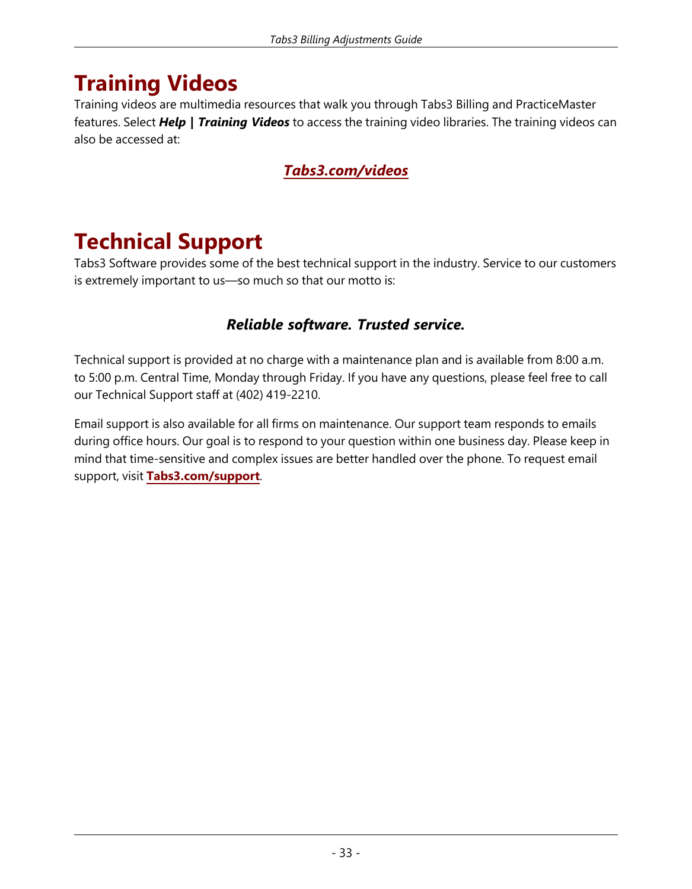### <span id="page-36-0"></span>**Training Videos**

Training videos are multimedia resources that walk you through Tabs3 Billing and PracticeMaster features. Select *Help | Training Videos* to access the training video libraries. The training videos can also be accessed at:

### *[Tabs3.com/videos](https://www.tabs3.com/videos)*

### <span id="page-36-1"></span>**Technical Support**

Tabs3 Software provides some of the best technical support in the industry. Service to our customers is extremely important to us—so much so that our motto is:

### *Reliable software. Trusted service.*

Technical support is provided at no charge with a maintenance plan and is available from 8:00 a.m. to 5:00 p.m. Central Time, Monday through Friday. If you have any questions, please feel free to call our Technical Support staff at (402) 419-2210.

Email support is also available for all firms on maintenance. Our support team responds to emails during office hours. Our goal is to respond to your question within one business day. Please keep in mind that time-sensitive and complex issues are better handled over the phone. To request email support, visit **[Tabs3.com/support](https://www.tabs3.com/support)**.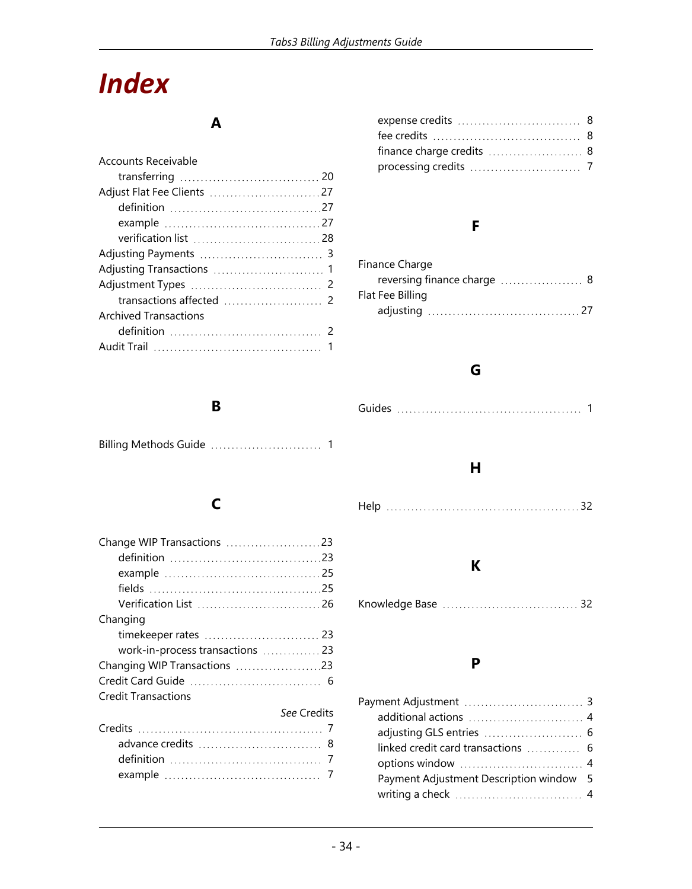# <span id="page-37-0"></span>*Index*

### **A**

| Accounts Receivable   |
|-----------------------|
|                       |
|                       |
|                       |
|                       |
|                       |
|                       |
|                       |
|                       |
|                       |
| Archived Transactions |
|                       |
|                       |
|                       |

### expense credits [8](#page-11-0) fee credits [8](#page-11-1)  $f$ inance charge credits  $\ldots$  $\ldots$  $\ldots$  $\ldots$  $\ldots$  $8$ processing credits [7](#page-10-3)

### **F**

| Finance Charge   |  |
|------------------|--|
|                  |  |
| Flat Fee Billing |  |
|                  |  |

Guides [1](#page-4-0)

**G**

### **H**

### **K**

```
Knowledge Base 32
```
### **P**

| additional actions  4                   |  |
|-----------------------------------------|--|
|                                         |  |
|                                         |  |
|                                         |  |
| Payment Adjustment Description window 5 |  |
|                                         |  |
|                                         |  |

### **B**

| <b>Billing Methods Guide</b> |  |
|------------------------------|--|
|------------------------------|--|

### **C**

| Verification List  26           |
|---------------------------------|
| Changing                        |
|                                 |
| work-in-process transactions 23 |
|                                 |
|                                 |
| <b>Credit Transactions</b>      |
| See Credits                     |
|                                 |
|                                 |
|                                 |
|                                 |